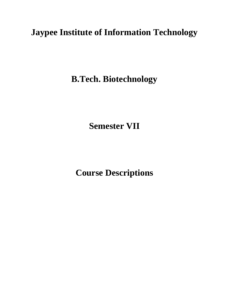# **Jaypee Institute of Information Technology**

**B.Tech. Biotechnology**

**Semester VII**

**Course Descriptions**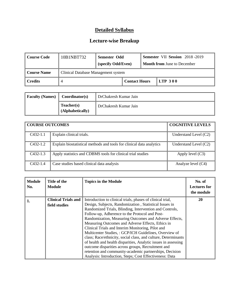| Course Code            | 10B1NBT732                          | Semester Odd<br>(specify Odd/Even) |                      | <b>Semester VII Session</b> 2018-2019<br><b>Month from June to December</b> |
|------------------------|-------------------------------------|------------------------------------|----------------------|-----------------------------------------------------------------------------|
| <b>Course Name</b>     | Clinical Database Management system |                                    |                      |                                                                             |
| $\blacksquare$ Credits |                                     |                                    | <b>Contact Hours</b> | <b>LTP 300</b>                                                              |

| <b>Faculty (Names)</b> | Coordinator(s)                 | DrChakresh Kumar Jain |
|------------------------|--------------------------------|-----------------------|
|                        | Teacher(s)<br>(Alphabetically) | DrChakresh Kumar Jain |

| <b>COURSE OUTCOMES</b> |                                                                      | <b>COGNITIVE LEVELS</b> |
|------------------------|----------------------------------------------------------------------|-------------------------|
| $C432-1.1$             | Explain clinical trials.                                             | Understand Level (C2)   |
| $C432-1.2$             | Explain biostatistical methods and tools for clinical data analytics | Understand Level $(C2)$ |
| $C432-1.3$             | Apply statistics and CDBMS tools for clinical trial studies          | Apply level $(C3)$      |
| $C432-1.4$             | Case studies based clinical data analysis                            | Analyze level (C4)      |

| <b>Module</b><br>No. | Title of the<br><b>Module</b> | <b>Topics in the Module</b>                                    | No. of<br><b>Lectures for</b><br>the module |
|----------------------|-------------------------------|----------------------------------------------------------------|---------------------------------------------|
| 1.                   | <b>Clinical Trials and</b>    | Introduction to clinical trials, phases of clinical trial,     | 20                                          |
|                      | field studies                 | Design, Subjects, Randomization, Statistical Issues in         |                                             |
|                      |                               | Randomized Trials, Blinding, Intervention and Controls,        |                                             |
|                      |                               | Follow-up, Adherence to the Protocol and Post-                 |                                             |
|                      |                               | Randomization, Measuring Outcomes and Adverse Effects,         |                                             |
|                      |                               | Measuring Outcomes and Adverse Effects, Ethics in              |                                             |
|                      |                               | Clinical Trials and Interim Monitoring, Pilot and              |                                             |
|                      |                               | Multicenter Studies, : GCP/ICH Guidelines, Overview of         |                                             |
|                      |                               | class; Race/ethnicity, social class, and culture, Determinants |                                             |
|                      |                               | of health and health disparities, Analytic issues in assessing |                                             |
|                      |                               | outcome disparities across groups, Recruitment and             |                                             |
|                      |                               | retention and community-academic partnerships, Decision        |                                             |
|                      |                               | Analysis: Introduction, Steps; Cost Effectiveness: Data        |                                             |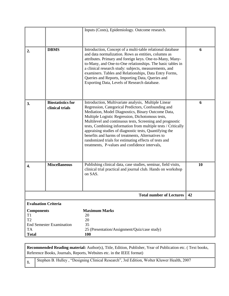|                                                                        |                                                                                                                                                                                                                                                                                                                                                                                                                                                                                     | Inputs (Costs), Epidemiology. Outcome research.                                                                                                                                                                                                                                                                                                                                                                                                                                                                                                                                |    |
|------------------------------------------------------------------------|-------------------------------------------------------------------------------------------------------------------------------------------------------------------------------------------------------------------------------------------------------------------------------------------------------------------------------------------------------------------------------------------------------------------------------------------------------------------------------------|--------------------------------------------------------------------------------------------------------------------------------------------------------------------------------------------------------------------------------------------------------------------------------------------------------------------------------------------------------------------------------------------------------------------------------------------------------------------------------------------------------------------------------------------------------------------------------|----|
| 2.                                                                     | Introduction, Concept of a multi-table relational database<br><b>DBMS</b><br>and data normalization. Rows as entities, columns as<br>attributes. Primary and foreign keys. One-to-Many, Many-<br>to-Many, and One-to-One relationships. The basic tables in<br>a clinical research study: subjects, measurements, and<br>examiners. Tables and Relationships, Data Entry Forms,<br>Queries and Reports, Importing Data, Queries and<br>Exporting Data, Levels of Research database. |                                                                                                                                                                                                                                                                                                                                                                                                                                                                                                                                                                                | 6  |
| 3.                                                                     | <b>Biostatistics for</b><br>clinical trials                                                                                                                                                                                                                                                                                                                                                                                                                                         | Introduction, Multivariate analysis, Multiple Linear<br>Regression, Categorical Predictors, Confounding and<br>Mediation, Model Diagnostics, Binary Outcome Data,<br>Multiple Logistic Regression, Dichotomous tests,<br>Multilevel and continuous tests, Screening and prognostic<br>tests, Combining information from multiple tests / Critically<br>appraising studies of diagnostic tests, Quantifying the<br>benefits and harms of treatments, Alternatives to<br>randomized trials for estimating effects of tests and<br>treatments, P-values and confidence intervals, | 6  |
| 4.                                                                     | <b>Miscellaneous</b>                                                                                                                                                                                                                                                                                                                                                                                                                                                                | Publishing clinical data, case studies, seminar, field visits,<br>clinical trial practical and journal club. Hands on workshop<br>on SAS.                                                                                                                                                                                                                                                                                                                                                                                                                                      | 10 |
|                                                                        |                                                                                                                                                                                                                                                                                                                                                                                                                                                                                     | <b>Total number of Lectures</b>                                                                                                                                                                                                                                                                                                                                                                                                                                                                                                                                                | 42 |
| <b>Evaluation Criteria</b>                                             |                                                                                                                                                                                                                                                                                                                                                                                                                                                                                     |                                                                                                                                                                                                                                                                                                                                                                                                                                                                                                                                                                                |    |
| <b>Components</b><br>T1<br>T <sub>2</sub><br><b>TA</b><br><b>Total</b> | <b>End Semester Examination</b>                                                                                                                                                                                                                                                                                                                                                                                                                                                     | <b>Maximum Marks</b><br>20<br>20<br>35<br>25 (Presentation/Assignment/Quiz/case study)<br><b>100</b>                                                                                                                                                                                                                                                                                                                                                                                                                                                                           |    |

**Recommended Reading material:** Author(s), Title, Edition, Publisher, Year of Publication etc. ( Text books, Reference Books, Journals, Reports, Websites etc. in the IEEE format)

1. Stephen B. Hulley, "Designing Clinical Research", 3rd Edition, Wolter Kluwer Health, 2007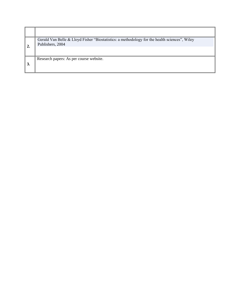|    | Gerald Van Belle & Lloyd Fisher "Biostatistics: a methodology for the health sciences", Wiley<br>Publishers, 2004 |
|----|-------------------------------------------------------------------------------------------------------------------|
|    |                                                                                                                   |
|    | Research papers: As per course website.                                                                           |
| 3. |                                                                                                                   |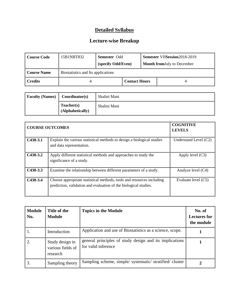| Course Code | 15B1NBT832                         | <b>Semester Odd</b><br>(specify Odd/Even) |                      | Semester VIISession2018-2019<br><b>Month from July to December</b> |
|-------------|------------------------------------|-------------------------------------------|----------------------|--------------------------------------------------------------------|
| Course Name | Biostatistics and Its applications |                                           |                      |                                                                    |
| l Credits   |                                    |                                           | <b>Contact Hours</b> |                                                                    |

| <b>Faculty (Names)</b> | Coordinator(s)                 | Shalini Mani |
|------------------------|--------------------------------|--------------|
|                        | Teacher(s)<br>(Alphabetically) | Shalini Mani |

|            | <b>COURSE OUTCOMES</b>                                                                                                                    | <b>COGNITIVE</b><br><b>LEVELS</b> |
|------------|-------------------------------------------------------------------------------------------------------------------------------------------|-----------------------------------|
| $C430-3.1$ | Explain the various statistical methods to design a biological studies<br>and data representation.                                        | Understand Level (C2)             |
| $C430-3.2$ | Apply different statistical methods and approaches to study the<br>significance of a study.                                               | Apply level $(C3)$                |
| $C430-3.3$ | Examine the relationship between different parameters of a study.                                                                         | Analyze level (C4)                |
| $C430-3.4$ | Choose appropriate statistical methods, tools and resources including<br>prediction, validation and evaluation of the biological studies. | Evaluate level (C5)               |

| <b>Module</b><br>No. | Title of the<br><b>Module</b>                    | <b>Topics in the Module</b>                                                    | No. of<br><b>Lectures for</b><br>the module |
|----------------------|--------------------------------------------------|--------------------------------------------------------------------------------|---------------------------------------------|
| 1.                   | Introduction                                     | Application and use of Biostatistics as a science, scope.                      |                                             |
| 2.                   | Study design in<br>various fields of<br>research | general principles of study design and its implications<br>for valid inference |                                             |
| 3.                   | Sampling theory                                  | Sampling scheme, simple/systematic/stratified/cluster                          |                                             |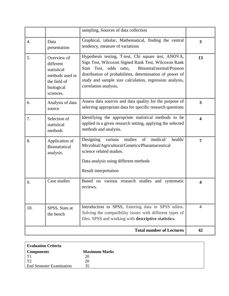|                  |                                                                                                       | sampling, Sources of data collection                                                                                                                                                                                                                                                                        |                         |
|------------------|-------------------------------------------------------------------------------------------------------|-------------------------------------------------------------------------------------------------------------------------------------------------------------------------------------------------------------------------------------------------------------------------------------------------------------|-------------------------|
| $\overline{4}$ . | Data<br>presentation                                                                                  | Graphical, tabular, Mathematical, finding the central<br>tendency, measure of variations                                                                                                                                                                                                                    | $\overline{3}$          |
| 5.               | Overview of<br>different<br>statistical<br>methods used in<br>the field of<br>biological<br>sciences. | Hypothesis testing, T-test, Chi square test, ANOVA,<br>Sign Test, Wilcoxon Signed Rank Test, Wilcoxon Rank<br>Sum Test, odds ratio, Binomial/normal/Poisson<br>distribution of probabilities, determination of power of<br>study and sample size calculation, regression analysis,<br>correlation analysis, | 13                      |
| 6.               | Analysis of data<br>source                                                                            | Assess data sources and data quality for the purpose of<br>selecting appropriate data for specific research questions                                                                                                                                                                                       | $\overline{3}$          |
| 7.               | Selection of<br>statistical<br>methods                                                                | Identifying the appropriate statistical methods to be<br>applied in a given research setting, applying the selected<br>methods and analysis.                                                                                                                                                                | $\overline{\mathbf{4}}$ |
| 8.               | Application of<br><b>Biostatistical</b><br>analysis.                                                  | various<br>studies<br>of<br>medical/<br>Designing<br>health/<br>Microbial/Agricultural/Genetics/Pharamaceutical<br>science related studies.<br>Data analysis using different methods<br>Result interpretation                                                                                               | $\overline{7}$          |
| 9.               | Case studies                                                                                          | Based on various research studies and systematic<br>reviews.                                                                                                                                                                                                                                                | 4                       |
| 10.              | SPSS, Stats at<br>the bench                                                                           | Introduction to SPSS, Entering data in SPSS editor.<br>Solving the compatibility issues with different types of<br>files. SPSS and working with descriptive statistics.                                                                                                                                     | $\overline{4}$          |
|                  |                                                                                                       | <b>Total number of Lectures</b>                                                                                                                                                                                                                                                                             | 42                      |

| <b>Evaluation Criteria</b>      |                      |  |
|---------------------------------|----------------------|--|
| <b>Components</b>               | <b>Maximum Marks</b> |  |
| T <sub>1</sub>                  | 20                   |  |
| T <sub>2</sub>                  | 20                   |  |
| <b>End Semester Examination</b> | 35                   |  |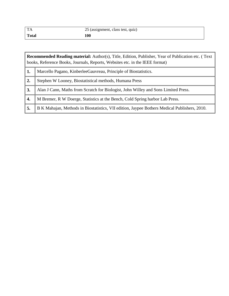| $\mathbf{T}$ | 25 (assignment, class test, quiz) |
|--------------|-----------------------------------|
| <b>Total</b> | LOO                               |

|    | <b>Recommended Reading material:</b> Author(s), Title, Edition, Publisher, Year of Publication etc. (Text<br>books, Reference Books, Journals, Reports, Websites etc. in the IEEE format) |  |  |  |
|----|-------------------------------------------------------------------------------------------------------------------------------------------------------------------------------------------|--|--|--|
| 1. | Marcello Pagano, Kinberlee Gauvreau, Principle of Biostatistics.                                                                                                                          |  |  |  |
| 2. | Stephen W Looney, Biostatistical methods, Humana Press                                                                                                                                    |  |  |  |
| 3. | Alan J Cann, Maths from Scratch for Biologist, John Willey and Sons Limited Press.                                                                                                        |  |  |  |
| 4. | M Bremer, R W Doerge, Statistics at the Bench, Cold Spring harbor Lab Press.                                                                                                              |  |  |  |
| 5. | B K Mahajan, Methods in Biostatistics, VII edition, Jaypee Bothers Medical Publishers, 2010.                                                                                              |  |  |  |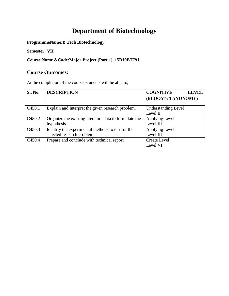# **Department of Biotechnology**

**ProgrammeName:B.Tech Biotechnology**

**Semester: VII**

#### **Course Name &Code:Major Project (Part 1), 15B19BT791**

#### **Course Outcomes:**

At the completion of the course, students will be able to,

| <b>Sl. No.</b>     | <b>DESCRIPTION</b>                                     | <b>COGNITIVE</b><br><b>LEVEL</b> |
|--------------------|--------------------------------------------------------|----------------------------------|
|                    |                                                        | (BLOOM's TAXONOMY)               |
| C <sub>450.1</sub> | Explain and Interpret the given research problem.      | <b>Understanding Level</b>       |
|                    |                                                        | Level II                         |
| C <sub>450.2</sub> | Organize the existing literature data to formulate the | Applying Level                   |
|                    | hypothesis                                             | Level III                        |
| C <sub>450.3</sub> | Identify the experimental methods to test for the      | Applying Level                   |
|                    | selected research problem                              | Level III                        |
| C <sub>450.4</sub> | Prepare and conclude with technical report             | <b>Create Level</b>              |
|                    |                                                        | Level VI                         |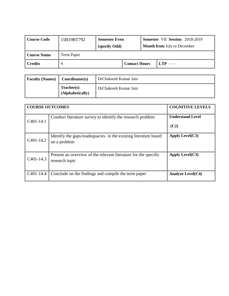| Course Code            | 15B19BT792 | <b>Semester Even</b><br>(specify Odd) |                      |  | <b>Semester VII Session</b> 2018-2019<br><b>Month from July to December</b> |  |
|------------------------|------------|---------------------------------------|----------------------|--|-----------------------------------------------------------------------------|--|
| <b>Course Name</b>     | Term Paper |                                       |                      |  |                                                                             |  |
| $\blacksquare$ Credits |            |                                       | <b>Contact Hours</b> |  | $LTP \ldots$                                                                |  |

| <b>Faculty (Names)</b> | Coordinator(s)                 | DrChakresh Kumar Jain |
|------------------------|--------------------------------|-----------------------|
|                        | Teacher(s)<br>(Alphabetically) | DrChakresh Kumar Jain |

| <b>COURSE OUTCOMES</b> | <b>COGNITIVE LEVELS</b>                                                           |                         |
|------------------------|-----------------------------------------------------------------------------------|-------------------------|
| $C401-14.1$            | Conduct literature survey to identify the research problem                        | <b>Understand Level</b> |
|                        |                                                                                   | (C2)                    |
| C <sub>4</sub> 01-14.2 | Identify the gaps/inadequacies in the existing literature based<br>on a problem   | Apply Level $(C3)$      |
| $C401-14.3$            | Present an overview of the relevant literature for the specific<br>research topic | Apply Level $(C3)$      |
| C <sub>4</sub> 01-14.4 | Conclude on the findings and compile the term paper                               | Analyze Level $(C4)$    |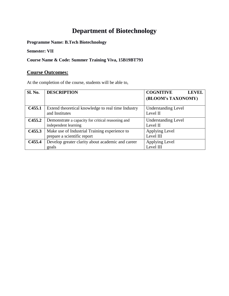# **Department of Biotechnology**

**Programme Name: B.Tech Biotechnology**

**Semester: VII**

**Course Name & Code: Summer Training Viva, 15B19BT793** 

#### **Course Outcomes:**

At the completion of the course, students will be able to,

| <b>Sl. No.</b>     | <b>DESCRIPTION</b>                                                   | <b>COGNITIVE</b><br><b>LEVEL</b>       |
|--------------------|----------------------------------------------------------------------|----------------------------------------|
|                    |                                                                      | (BLOOM's TAXONOMY)                     |
| C <sub>455.1</sub> | Extend theoretical knowledge to real time Industry<br>and Institutes | <b>Understanding Level</b><br>Level II |
|                    |                                                                      |                                        |
| C <sub>455.2</sub> | Demonstrate a capacity for critical reasoning and                    | <b>Understanding Level</b>             |
|                    | independent learning                                                 | Level II                               |
| C <sub>455.3</sub> | Make use of Industrial Training experience to                        | Applying Level                         |
|                    | prepare a scientific report                                          | Level III                              |
| C <sub>455.4</sub> | Develop greater clarity about academic and career                    | Applying Level                         |
|                    | goals                                                                | Level III                              |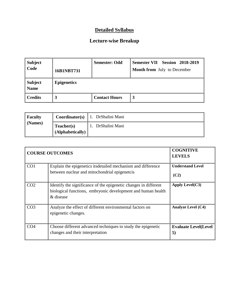| <b>Subject</b><br>  Code      | 16B1NBT731         | <b>Semester: Odd</b> | <b>Semester VII Session 2018-2019</b><br><b>Month from</b> July to December |
|-------------------------------|--------------------|----------------------|-----------------------------------------------------------------------------|
| <b>Subject</b><br><b>Name</b> | <b>Epigenetics</b> |                      |                                                                             |
| <b>Credits</b>                | 3                  | <b>Contact Hours</b> | 3                                                                           |

| <b>Faculty</b> | Coordinator(s)                 | 1. DrShalini Mani |
|----------------|--------------------------------|-------------------|
| (Names)        | Teacher(s)<br>(Alphabetically) | DrShalini Mani    |

| <b>COURSE OUTCOMES</b> | <b>COGNITIVE</b><br><b>LEVELS</b>                                                                                                             |                                    |
|------------------------|-----------------------------------------------------------------------------------------------------------------------------------------------|------------------------------------|
| CO <sub>1</sub>        | Explain the epigenetics its detailed mechanism and difference<br>between nuclear and mitochondrial epigenetis                                 | <b>Understand Level</b><br>(C2)    |
| CO <sub>2</sub>        | Identify the significance of the epigenetic changes in different<br>biological functions, embryonic development and human health<br>& disease | Apply Level $(C3)$                 |
| CO <sub>3</sub>        | Analyze the effect of different environmental factors on<br>epigenetic changes.                                                               | <b>Analyze Level (C4)</b>          |
| CO <sub>4</sub>        | Choose different advanced techniques to study the epigenetic<br>changes and their interpretation                                              | <b>Evaluate Level</b> (Level<br>5) |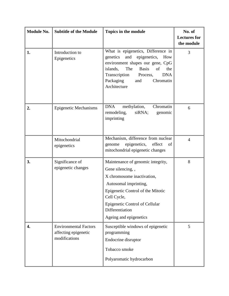| <b>Module No.</b> | <b>Subtitle of the Module</b>                                         | Topics in the module                                                                                                                                                                                                                                         | No. of<br><b>Lectures for</b><br>the module |
|-------------------|-----------------------------------------------------------------------|--------------------------------------------------------------------------------------------------------------------------------------------------------------------------------------------------------------------------------------------------------------|---------------------------------------------|
| 1.                | Introduction to<br>Epigenetics                                        | What is epigenetics, Difference in<br>epigenetics,<br>genetics<br>and<br>How<br>environment shapes our gene, CpG<br>islands,<br>The<br><b>Basis</b><br>of<br>the<br>Transcription<br><b>DNA</b><br>Process,<br>Packaging<br>Chromatin<br>and<br>Architecture | 3                                           |
| 2.                | <b>Epigenetic Mechanisms</b>                                          | <b>DNA</b><br>methylation,<br>Chromatin<br>siRNA;<br>remodeling,<br>genomic<br>imprinting                                                                                                                                                                    | 6                                           |
|                   | Mitochondrial<br>epigenetics                                          | Mechanism, difference from nuclear<br>epigenetics, effect<br>genome<br>of<br>mitochondrial epigenetic changes                                                                                                                                                | $\overline{4}$                              |
| 3.                | Significance of<br>epigenetic changes                                 | Maintenance of genomic integrity,<br>Gene silencing, ,<br>X chromosome inactivation,<br>Autosomal imprinting,<br>Epigenetic Control of the Mitotic<br>Cell Cycle,<br>Epigenetic Control of Cellular<br>Differentiation<br>Ageing and epigenetics             | 8                                           |
| 4.                | <b>Environmental Factors</b><br>affecting epigenetic<br>modifications | Susceptible windows of epigenetic<br>programming<br>Endocrine disruptor<br>Tobacco smoke<br>Polyaromatic hydrocarbon                                                                                                                                         | 5                                           |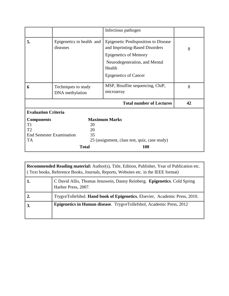|                                                                                           |                                        | Infectious pathogen                                                                                                                                                                      |   |
|-------------------------------------------------------------------------------------------|----------------------------------------|------------------------------------------------------------------------------------------------------------------------------------------------------------------------------------------|---|
| 5.                                                                                        | Epigenetics in health and<br>diseases  | <b>Epigenetic Predisposition to Disease</b><br>and Imprinting-Based Disorders<br><b>Epigenetics of Memory</b><br>Neurodegeneration, and Mental<br>Health<br><b>Epigenetics of Cancer</b> | 8 |
| 6                                                                                         | Techniques to study<br>DNA methylation | MSP, Bisulfite sequencing, ChiP,<br>microarray                                                                                                                                           | 8 |
|                                                                                           | 42                                     |                                                                                                                                                                                          |   |
| <b>Evaluation Criteria</b>                                                                |                                        |                                                                                                                                                                                          |   |
| <b>Components</b><br>T1<br>T <sub>2</sub><br><b>End Semester Examination</b><br><b>TA</b> | 20<br>20<br>35                         | <b>Maximum Marks</b><br>25 (assignment, class test, quiz, case study)                                                                                                                    |   |
|                                                                                           | <b>Total</b>                           | <b>100</b>                                                                                                                                                                               |   |

| <b>Recommended Reading material:</b> Author(s), Title, Edition, Publisher, Year of Publication etc.<br>(Text books, Reference Books, Journals, Reports, Websites etc. in the IEEE format) |                                                                                                 |  |  |
|-------------------------------------------------------------------------------------------------------------------------------------------------------------------------------------------|-------------------------------------------------------------------------------------------------|--|--|
|                                                                                                                                                                                           | C David Allis, Thomas Jenuwein, Danny Reinberg. Epigenetics. Cold Spring<br>Harbor Press, 2007. |  |  |
|                                                                                                                                                                                           | TrygveTollefsbol. Hand book of Epigenetics. Elsevier, Academic Press, 2010.                     |  |  |
| 3.                                                                                                                                                                                        | Epigenetics in Human disease. TrygveTollefsbol, Academic Press, 2012                            |  |  |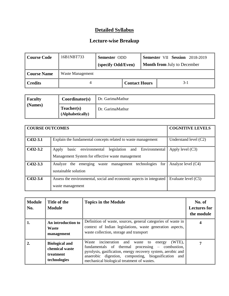| Course Code | 16B1NBT733       | Semester ODD                  |  |  | Semester VII Session 2018-2019     |
|-------------|------------------|-------------------------------|--|--|------------------------------------|
|             |                  | (specify Odd/Even)            |  |  | <b>Month from July to December</b> |
| Course Name | Waste Management |                               |  |  |                                    |
| Credits     |                  | $3-1$<br><b>Contact Hours</b> |  |  |                                    |

| Faculty | Coordinator(s)                 | Dr. GarimaMathur |
|---------|--------------------------------|------------------|
| (Names) | Teacher(s)<br>(Alphabetically) | Dr. GarimaMathur |

| <b>COURSE OUTCOMES</b> | <b>COGNITIVE LEVELS</b>                                                                                                    |                         |
|------------------------|----------------------------------------------------------------------------------------------------------------------------|-------------------------|
| $C432-3.1$             | Explain the fundamental concepts related to waste management                                                               | Understand level $(C2)$ |
| $C432-3.2$             | basic<br>legislation<br>Environmental<br>environmental<br>and<br>Apply<br>Management System for effective waste management | Apply level $(C3)$      |
| $C432 - 3.3$           | technologies for<br>Analyze the emerging<br>waste management<br>sustainable solution                                       | Analyze level (C4)      |
| $C_{432-3.4}$          | Assess the environmental, social and economic aspects in integrated<br>waste management                                    | Evaluate level (C5)     |

| <b>Module</b><br>No. | Title of the<br><b>Module</b>                                        | <b>Topics in the Module</b>                                                                                                                                                                                                                                                                       | No. of<br><b>Lectures for</b><br>the module |
|----------------------|----------------------------------------------------------------------|---------------------------------------------------------------------------------------------------------------------------------------------------------------------------------------------------------------------------------------------------------------------------------------------------|---------------------------------------------|
| 1.                   | An introduction to<br>Waste<br>management                            | Definition of waste, sources, general categories of waste in<br>context of Indian legislations, waste generation aspects,<br>waste collection, storage and transport                                                                                                                              |                                             |
| 2.                   | <b>Biological and</b><br>chemical waste<br>treatment<br>technologies | Waste incineration and waste to<br>$(WTE)$ ,<br>energy<br>fundamentals of thermal<br>$\frac{1}{2}$ processing – combustion,<br>pyrolysis, gasification, energy recovery system, aerobic and<br>anaerobic digestion, composting, biogasification and<br>mechanical biological treatment of wastes. |                                             |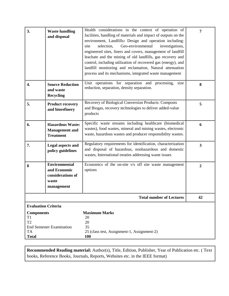| 3.                                                                                       | <b>Waste handling</b><br>and disposal                                            | Health considerations in the context of operation of<br>facilities, handling of materials and impact of outputs on the<br>environment, Landfills: Design and operation including:<br>Geo-environmental<br>site<br>selection,<br>investigations,<br>engineered sites, liners and covers, management of landfill<br>leachate and the mining of old landfills, gas recovery and<br>control, including utilization of recovered gas (energy), and<br>landfill monitoring and reclamation, Natural attenuation<br>process and its mechanisms, integrated waste management | 7                       |
|------------------------------------------------------------------------------------------|----------------------------------------------------------------------------------|----------------------------------------------------------------------------------------------------------------------------------------------------------------------------------------------------------------------------------------------------------------------------------------------------------------------------------------------------------------------------------------------------------------------------------------------------------------------------------------------------------------------------------------------------------------------|-------------------------|
| 4.                                                                                       | <b>Source Reduction</b><br>and waste<br><b>Recycling</b>                         | Unit operations for separation and processing,<br>size<br>reduction, separation, density separation.                                                                                                                                                                                                                                                                                                                                                                                                                                                                 | 8                       |
| 5.                                                                                       | <b>Product recovery</b><br>and biorefinery                                       | Recovery of Biological Conversion Products: Composts<br>and Biogas, recovery technologies to deliver added-value<br>products                                                                                                                                                                                                                                                                                                                                                                                                                                         | 5                       |
| 6.                                                                                       | <b>Hazardous Waste:</b><br><b>Management</b> and<br><b>Treatment</b>             | Specific waste streams including healthcare (biomedical<br>wastes), food wastes, mineral and mining wastes, electronic<br>waste, hazardous wastes and producer responsibility wastes.                                                                                                                                                                                                                                                                                                                                                                                | 6                       |
| 7.                                                                                       | <b>Legal aspects and</b><br>policy guidelines                                    | Regulatory requirements for identification, characterization<br>and disposal of hazardous, nonhazardous and domestic<br>wastes, International treaties addressing waste issues                                                                                                                                                                                                                                                                                                                                                                                       | $\overline{\mathbf{3}}$ |
| 8                                                                                        | <b>Environmental</b><br>and Economic<br>considerations of<br>waste<br>management | Economics of the on-site v/s off site waste management<br>options                                                                                                                                                                                                                                                                                                                                                                                                                                                                                                    | $\boldsymbol{2}$        |
|                                                                                          |                                                                                  | <b>Total number of Lectures</b>                                                                                                                                                                                                                                                                                                                                                                                                                                                                                                                                      | 42                      |
| <b>Evaluation Criteria</b><br><b>Components</b><br>T1<br>T2<br><b>TA</b><br><b>Total</b> | <b>End Semester Examination</b>                                                  | <b>Maximum Marks</b><br>20<br>20<br>35<br>25 (class test, Assignment-1, Assignment-2)<br><b>100</b>                                                                                                                                                                                                                                                                                                                                                                                                                                                                  |                         |

**Recommended Reading material:** Author(s), Title, Edition, Publisher, Year of Publication etc. ( Text books, Reference Books, Journals, Reports, Websites etc. in the IEEE format)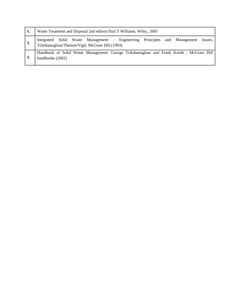| -1. | Waste Treatment and Disposal 2nd edition Paul T Williams, Wiley, 2005                                                                |  |  |  |
|-----|--------------------------------------------------------------------------------------------------------------------------------------|--|--|--|
| 2.  | Integrated Solid Waste Management - Engineering Principles and Management Issues,<br>Tchobanoglous/Theisen/Vigil, McGraw Hill (1993) |  |  |  |
|     | Handbook of Solid Waste Management- George Tchobanoglous and Frank Kreith, McGraw Hill<br>handbooks (2002)                           |  |  |  |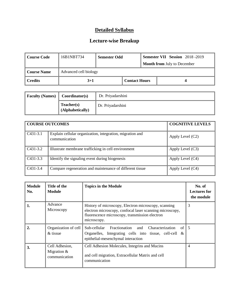| Course Code         | 16B1NBT734            | <b>Semester Odd</b>  |  | <b>Semester VII Session</b> 2018 -2019 |
|---------------------|-----------------------|----------------------|--|----------------------------------------|
|                     |                       |                      |  | <b>Month from July to December</b>     |
| Course Name         | Advanced cell biology |                      |  |                                        |
| $\parallel$ Credits | $3 + 1$               | <b>Contact Hours</b> |  |                                        |

| <b>Faculty (Names)</b> | Coordinator(s)                 | Dr. Priyadarshini |
|------------------------|--------------------------------|-------------------|
|                        | Teacher(s)<br>(Alphabetically) | Dr. Priyadarshini |

| <b>COURSE OUTCOMES</b> |                                                                            | <b>COGNITIVE LEVELS</b> |
|------------------------|----------------------------------------------------------------------------|-------------------------|
| $\vert$ C431-3.1       | Explain cellular organization, integration, migration and<br>communication | Apply Level $(C2)$      |
| $C431-3.2$             | Illustrate membrane trafficking in cell environment                        | Apply Level $(C3)$      |
| $C431-3.3$             | Identify the signaling event during biogenesis                             | Apply Level (C4)        |
| $\big $ C431-3.4       | Compare regeneration and maintenance of different tissue                   | Apply Level (C4)        |

| <b>Module</b><br>No. | Title of the<br>Module                           | <b>Topics in the Module</b>                                                                                                                                                       | No. of<br><b>Lectures for</b><br>the module |
|----------------------|--------------------------------------------------|-----------------------------------------------------------------------------------------------------------------------------------------------------------------------------------|---------------------------------------------|
| 1.                   | Advance<br>Microscopy                            | History of microscopy, Electron microscopy, scanning<br>electron microscopy, confocal laser scanning microscopy,<br>fluorescence microscopy, transmission electron<br>microscopy. | 3                                           |
| $\overline{2}$       | Organization of cell<br>$&$ tissue               | Sub-cellular Fractionation and<br>of 1<br>Characterization<br>Organelles, Integrating cells into tissue, cell-cell $\&$<br>epithelial-mesenchymal interaction                     | l 5                                         |
| 3.                   | Cell Adhesion,<br>Migration $&$<br>communication | Cell Adhesion Molecules, Integrins and Mucins<br>and cell migration, Extracellular Matrix and cell<br>communication                                                               | $\overline{4}$                              |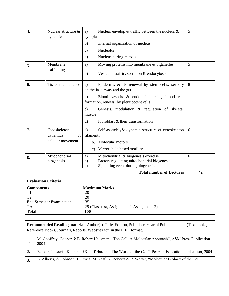| 4.                                        | Nuclear structure &<br>dynamics | Nuclear envelop $&$ traffic between the nucleus $&$<br>a)<br>cytoplasm                                                                                | 5  |
|-------------------------------------------|---------------------------------|-------------------------------------------------------------------------------------------------------------------------------------------------------|----|
|                                           |                                 | Internal organization of nucleus<br>b)                                                                                                                |    |
|                                           |                                 | <b>Nucleolus</b><br>$\mathbf{c})$                                                                                                                     |    |
|                                           |                                 | $\rm d$<br>Nucleus during mitosis                                                                                                                     |    |
| 5.                                        | Membrane                        | Moving proteins into membrane & organelles<br>a)                                                                                                      | 5  |
|                                           | trafficking                     | Vesicular traffic, secretion & endocytosis<br>b)                                                                                                      |    |
| 6.                                        | Tissue maintenance              | Epidermis $\&$ its renewal by stem cells, sensory<br>a)<br>epithelia, airway and the gut                                                              | 8  |
|                                           |                                 | Blood vessels & endothelial cells, blood cell<br>b)<br>formation, renewal by pleuripotent cells                                                       |    |
|                                           |                                 | Genesis, modulation & regulation of skeletal<br>$\mathbf{c}$ )<br>muscle                                                                              |    |
|                                           |                                 | $\mathbf{d}$<br>Fibroblast & their transformation                                                                                                     |    |
| 7.                                        | Cytoskeleton<br>dynamics<br>&   | Self assembly & dynamic structure of cytoskeleton<br>a)<br>filaments                                                                                  | 6  |
|                                           | cellular movement               | b) Molecular motors                                                                                                                                   |    |
|                                           |                                 | Microtubule based motility<br>$\mathbf{c})$                                                                                                           |    |
| 8.                                        | Mitochondrial<br>biogenesis     | Mitochondrial & biogenesis exercise<br>a)<br>Factors regulating mitochondrial biogenesis<br>b)<br>Signalling event during biogenesis<br>$\mathbf{c})$ | 6  |
|                                           |                                 | <b>Total number of Lectures</b>                                                                                                                       | 42 |
|                                           | <b>Evaluation Criteria</b>      |                                                                                                                                                       |    |
| <b>Components</b><br>T1<br>T <sub>2</sub> | <b>End Semester Examination</b> | <b>Maximum Marks</b><br>20<br>20<br>35                                                                                                                |    |
| <b>TA</b><br><b>Total</b>                 |                                 | 25 (Class test, Assignment-1 Assignment-2)<br>100                                                                                                     |    |
|                                           |                                 |                                                                                                                                                       |    |

**Recommended Reading material:** Author(s), Title, Edition, Publisher, Year of Publication etc. (Text books, Reference Books, Journals, Reports, Websites etc. in the IEEE format) 1. M. Geoffrey, Cooper & E. Robert Hausman, "The Cell: A Molecular Approach", ASM Press Publication, 2004 **2.** Becker, J. Lewis, Kleinsmith& Jeff Hardin, "The World of the Cell", Pearson Education publication, 2004 **3.** B. Alberts, A. Johnson, J. Lewis, M. Raff, K. Roberts & P. Watter, "Molecular Biology of the Cell",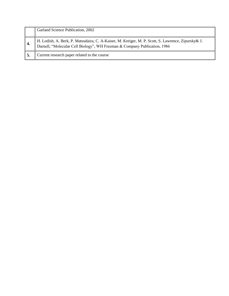|                | Garland Science Publication, 2002                                                                                                                                               |
|----------------|---------------------------------------------------------------------------------------------------------------------------------------------------------------------------------|
| $^{\prime}$ 4. | H. Lodish, A. Berk, P. Matsudaira, C. A-Kaiser, M. Kreiger, M. P. Scott, S. Lawrence, Zipursky& J.<br>Darnell, "Molecular Cell Biology", WH Freeman & Company Publication, 1986 |
| ' 5.           | Current research paper related to the course                                                                                                                                    |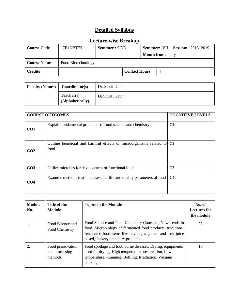| <b>Course Code</b>                       | 17B1NBT731 | Semester: ODD |                      |                         |  | <b>Semester: VII Session: 2018 -2019</b> |
|------------------------------------------|------------|---------------|----------------------|-------------------------|--|------------------------------------------|
|                                          |            |               |                      | <b>Month from:</b> July |  |                                          |
| Food Biotechnology<br><b>Course Name</b> |            |               |                      |                         |  |                                          |
| <b>Credits</b>                           |            |               | <b>Contact Hours</b> |                         |  |                                          |

| <b>Faculty (Names)</b> | Coordinator(s)                 | Dr. Smriti Gaur |
|------------------------|--------------------------------|-----------------|
|                        | Teacher(s)<br>(Alphabetically) | Dr.Smriti Gaur  |

|                 | <b>COURSE OUTCOMES</b>                                                                     | <b>COGNITIVE LEVELS</b> |
|-----------------|--------------------------------------------------------------------------------------------|-------------------------|
| CO <sub>1</sub> | Explain fundamental principles of food science and chemistry.                              | C <sub>2</sub>          |
| CO <sub>2</sub> | Outline beneficial and harmful effects of microorganisms related to C <sub>2</sub><br>food |                         |
| CO <sub>3</sub> | Utilize microbes for development of functional food                                        | C <sub>3</sub>          |
| CO <sub>4</sub> | Examine methods that increase shelf life and quality parameters of food                    | C <sub>4</sub>          |

| <b>Module</b><br>No. | Title of the<br><b>Module</b>                   | <b>Topics in the Module</b>                                                                                                                                                                                               | No. of<br><b>Lectures for</b><br>the module |
|----------------------|-------------------------------------------------|---------------------------------------------------------------------------------------------------------------------------------------------------------------------------------------------------------------------------|---------------------------------------------|
| 1.                   | Food Science and<br>Food Chemistry              | Food Science and Food Chemistry Concepts, New trends in<br>food, Microbiology of fermented food products, traditional<br>fermented food items like beverages (cereal and fruit juice<br>based), bakery and dairy products | 08                                          |
| 2.                   | Food preservation<br>and processing<br>methods: | Food spoilage and food borne diseases, Drying, equipments<br>used for drying, High temperature preservation, Low<br>temperature, Canning, Bottling, Irradiation, Vacuum<br>packing,                                       | 10                                          |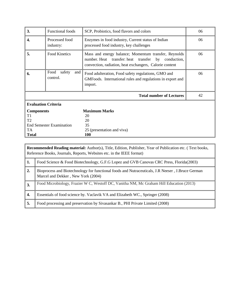| 3.                                                | <b>Functional foods</b>           | SCP, Probiotics, food flavors and colors                                                                                                                               | 06 |  |
|---------------------------------------------------|-----------------------------------|------------------------------------------------------------------------------------------------------------------------------------------------------------------------|----|--|
| 4.                                                | Processed food<br>industry:       | Enzymes in food industry, Current status of Indian<br>processed food industry, key challenges                                                                          | 06 |  |
| 5.                                                | <b>Food Kinetics</b>              | Mass and energy balance; Momentum transfer, Reynolds<br>number. Heat transfer: heat transfer by conduction,<br>convection, radiation, heat exchangers, Calorie content | 06 |  |
| 6.                                                | Food<br>safety<br>and<br>control. | Food adulteration, Food safety regulations, GMO and<br>GMFoods. International rules and regulations in export and<br>import.                                           | 06 |  |
|                                                   |                                   | <b>Total number of Lectures</b>                                                                                                                                        | 42 |  |
| <b>Evaluation Criteria</b>                        |                                   |                                                                                                                                                                        |    |  |
| <b>Components</b>                                 |                                   | <b>Maximum Marks</b>                                                                                                                                                   |    |  |
| T1                                                |                                   | 20                                                                                                                                                                     |    |  |
| T <sub>2</sub><br><b>End Semester Examination</b> |                                   | 20                                                                                                                                                                     |    |  |
| TA                                                |                                   | 35<br>25 (presentation and viva)                                                                                                                                       |    |  |
| <b>Total</b>                                      |                                   | 100                                                                                                                                                                    |    |  |

|                  | <b>Recommended Reading material:</b> Author(s), Title, Edition, Publisher, Year of Publication etc. (Text books,<br>Reference Books, Journals, Reports, Websites etc. in the IEEE format) |  |  |  |
|------------------|-------------------------------------------------------------------------------------------------------------------------------------------------------------------------------------------|--|--|--|
| 1.               | Food Science & Food Biotechnology, G.F.G Lopez and GVB Canovas CRC Press, Florida(2003)                                                                                                   |  |  |  |
| $\vert 2. \vert$ | Bioprocess and Biotechnology for functional foods and Nutraceuticals, J.R. Neeser, J.Bruce German<br>Marcel and Dekker, New York (2004)                                                   |  |  |  |
| 3.               | Food Microbiology, Frazier W C, Westoff DC, Vanitha NM, Mc Graham Hill Education (2013)                                                                                                   |  |  |  |
| 4.               | Essentials of food science by. Vaclavik VA and Elizabeth WC., Springer (2008)                                                                                                             |  |  |  |
| 5.               | Food processing and preservation by Sivasankar B., PHI Private Limited (2008)                                                                                                             |  |  |  |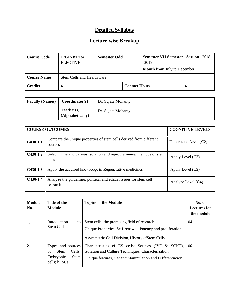| <b>Course Code</b>                               | 17B1NBT734<br><b>ELECTIVE</b> | <b>Semester Odd</b> |                      | $-2019$ | <b>Semester VII Semester Session 2018</b> |
|--------------------------------------------------|-------------------------------|---------------------|----------------------|---------|-------------------------------------------|
|                                                  |                               |                     |                      |         | <b>Month from July to December</b>        |
| <b>Course Name</b><br>Stem Cells and Health Care |                               |                     |                      |         |                                           |
| <b>Credits</b>                                   |                               |                     | <b>Contact Hours</b> |         |                                           |

| <b>Faculty (Names)</b><br>Coordinator(s) |                                | Dr. Sujata Mohanty |
|------------------------------------------|--------------------------------|--------------------|
|                                          | Teacher(s)<br>(Alphabetically) | Dr. Sujata Mohanty |

|            | <b>COURSE OUTCOMES</b>                                                         | <b>COGNITIVE LEVELS</b> |
|------------|--------------------------------------------------------------------------------|-------------------------|
| $C430-1.1$ | Compare the unique properties of stem cells derived from different<br>sources  | Understand Level $(C2)$ |
| $C430-1.2$ | Select niche and various isolation and reprogramming methods of stem<br>cells  | Apply Level $(C3)$      |
| $C430-1.3$ | Apply the acquired knowledge in Regenerative medicines                         | Apply Level (C3)        |
| $C430-1.4$ | Analyze the guidelines, political and ethical issues for stem cell<br>research | Analyze Level (C4)      |

| <b>Module</b><br>No. | Title of the<br><b>Module</b>                                                         | <b>Topics in the Module</b>                                                                                                                                            | No. of<br><b>Lectures for</b><br>the module |
|----------------------|---------------------------------------------------------------------------------------|------------------------------------------------------------------------------------------------------------------------------------------------------------------------|---------------------------------------------|
| 1.                   | Introduction<br>to<br>Stem Cells                                                      | Stem cells: the promising field of research,<br>Unique Properties: Self-renewal, Potency and proliferation<br>Asymmetric Cell Division, History of Stem Cells          | 04                                          |
| $\overline{2}$       | Types and sources<br>Cells:<br>of<br><b>Stem</b><br>Embryonic<br>Stem<br>cells; hESCs | Characteristics of ES cells: Sources (IVF & SCNT),<br>Isolation and Culture Techniques, Characterization,<br>Unique features, Genetic Manipulation and Differentiation | -06                                         |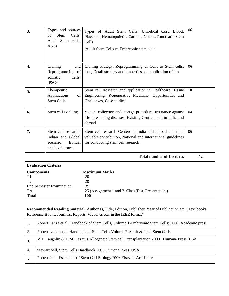| 3.                                                                                            | Types and sources<br><b>Stem</b><br>of<br>Cells:<br>Adult Stem cells;<br><b>ASCs</b> | Types of Adult Stem Cells: Umbilical Cord Blood,<br>Placental, Hematopoietic, Cardiac, Neural, Pancreatic Stem<br>Cells<br>Adult Stem Cells vs Embryonic stem cells | 06 |  |
|-----------------------------------------------------------------------------------------------|--------------------------------------------------------------------------------------|---------------------------------------------------------------------------------------------------------------------------------------------------------------------|----|--|
| 4.                                                                                            | Cloning<br>and<br>Reprogramming of<br>somatic<br>cells:<br><b>iPSCs</b>              | Cloning strategy, Reprogramming of Cells to Stem cells,<br>ipsc, Detail strategy and properties and application of ipsc                                             | 06 |  |
| 5.                                                                                            | Therapeutic<br>Applications<br>of <sub>1</sub><br><b>Stem Cells</b>                  | Stem cell Research and application in Healthcare, Tissue<br>Engineering, Regenerative Medicine, Opportunities and<br>Challenges, Case studies                       | 10 |  |
| 6.                                                                                            | Stem cell Banking                                                                    | Vision, collection and storage procedure, Insurance against<br>life threatening diseases, Existing Centres both in India and<br>abroad                              | 04 |  |
| 7.                                                                                            | Stem cell research:<br>Indian and Global<br>scenario:<br>Ethical<br>and legal issues | Stem cell research Centers in India and abroad and their<br>valuable contribution, National and International guidelines<br>for conducting stem cell research       | 06 |  |
|                                                                                               |                                                                                      | <b>Total number of Lectures</b>                                                                                                                                     | 42 |  |
| <b>Evaluation Criteria</b>                                                                    |                                                                                      |                                                                                                                                                                     |    |  |
| <b>Components</b><br>T1<br>T2<br><b>End Semester Examination</b><br><b>TA</b><br><b>Total</b> |                                                                                      | <b>Maximum Marks</b><br>20<br>20<br>35<br>25 (Assignment 1 and 2, Class Test, Presentation,)<br>100                                                                 |    |  |

|                  | <b>Recommended Reading material:</b> Author(s), Title, Edition, Publisher, Year of Publication etc. (Text books,<br>Reference Books, Journals, Reports, Websites etc. in the IEEE format) |  |  |  |  |
|------------------|-------------------------------------------------------------------------------------------------------------------------------------------------------------------------------------------|--|--|--|--|
| -1.              | Robert Lanza et.al., Handbook of Stem Cells, Volume 1-Embryonic Stem Cells; 2006, Academic press                                                                                          |  |  |  |  |
| 2.               | Robert Lanza et.al. Handbook of Stem Cells Volume 2-Adult & Fetal Stem Cells                                                                                                              |  |  |  |  |
| $\overline{3}$ . | M.J. Laughlin & H.M. Lazarus Allogeneic Stem cell Transplantation 2003 Humana Press, USA                                                                                                  |  |  |  |  |
| 4.               | Stewart Sell, Stem Cells Handbook 2003 Humana Press, USA                                                                                                                                  |  |  |  |  |
| 5.               | Robert Paul. Essentials of Stem Cell Biology 2006 Elsevier Academic                                                                                                                       |  |  |  |  |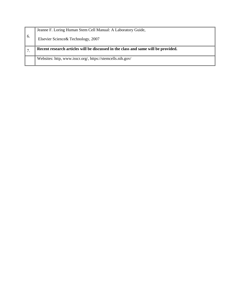|    | Jeanne F. Loring Human Stem Cell Manual: A Laboratory Guide,                       |
|----|------------------------------------------------------------------------------------|
| 6. | Elsevier Science & Technology, 2007                                                |
|    |                                                                                    |
|    | Recent research articles will be discussed in the class and same will be provided. |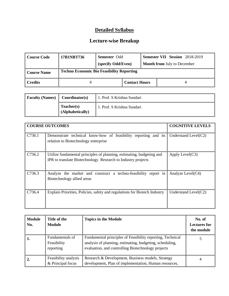| Course Code         | 17B1NBT736 | <b>Semester Odd</b><br>(specify Odd/Even)        |                      |  | <b>Semester VII Session</b> 2018-2019<br><b>Month from July to December</b> |
|---------------------|------------|--------------------------------------------------|----------------------|--|-----------------------------------------------------------------------------|
| <b>Course Name</b>  |            | <b>Techno Economic Bio Feasibility Reporting</b> |                      |  |                                                                             |
| $\parallel$ Credits |            |                                                  | <b>Contact Hours</b> |  |                                                                             |

| <b>Faculty (Names)</b> | Coordinator(s)                 | 1. Prof. S Krishna Sundari |
|------------------------|--------------------------------|----------------------------|
|                        | Teacher(s)<br>(Alphabetically) | 1. Prof. S Krishna Sundari |

|        | <b>COURSE OUTCOMES</b>                                                                                                                | <b>COGNITIVE LEVELS</b> |
|--------|---------------------------------------------------------------------------------------------------------------------------------------|-------------------------|
| C736.1 | Demonstrate technical know-how of feasibility reporting and its<br>relation to Biotechnology enterprise                               | Understand Level $(C2)$ |
| C736.2 | Utilize fundamental principles of planning, estimating, budgeting and<br>IPR to translate Biotechnology Research to Industry projects | Apply Level(C3)         |
| C736.3 | Analyze the market and construct a techno-feasibility report in<br>Biotechnology allied areas                                         | Analyze Level(C4)       |
| C736.4 | Explain Priorities, Policies, safety and regulations for Biotech Industry                                                             | Understand Level(C2)    |

| <b>Module</b><br>No. | Title of the<br><b>Module</b>               | <b>Topics in the Module</b>                                                                                                                                                  | No. of<br><b>Lectures for</b><br>the module |
|----------------------|---------------------------------------------|------------------------------------------------------------------------------------------------------------------------------------------------------------------------------|---------------------------------------------|
| 1.                   | Fundamentals of<br>Feasibility<br>reporting | Fundamental principles of Feasibility reporting, Technical<br>analysis of planning, estimating, budgeting, scheduling,<br>evaluation, and controlling Biotechnology projects |                                             |
|                      | Feasibility analysis<br>& Principal focus   | Research & Development, Business models, Strategy<br>development, Plan of implementation, Human resources,                                                                   |                                             |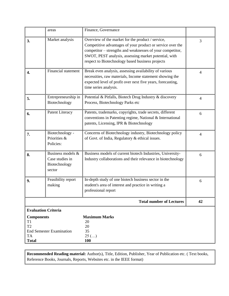|                                                                        | areas                                                           | Finance, Governance                                                                                                                                                                                                                                                                       |                |
|------------------------------------------------------------------------|-----------------------------------------------------------------|-------------------------------------------------------------------------------------------------------------------------------------------------------------------------------------------------------------------------------------------------------------------------------------------|----------------|
| 3.                                                                     | Market analysis                                                 | Overview of the market for the product / service,<br>Competitive advantages of your product or service over the<br>competitor – strengths and weaknesses of your competitor,<br>SWOT, PEST analysis, assessing market potential, with<br>respect to Biotechnology based business projects | 3              |
| 4.                                                                     | <b>Financial statement</b>                                      | Break even analysis, assessing availability of various<br>necessities, raw materials, Income statement showing the<br>expected level of profit over next five years, forecasting,<br>time series analysis.                                                                                | $\overline{4}$ |
| 5.                                                                     | Entrepreneurship in<br>Biotechnology                            | Potential & Pitfalls, Biotech Drug Industry & discovery<br>Process, Biotechnology Parks etc                                                                                                                                                                                               | $\overline{4}$ |
| 6.                                                                     | Patent Literacy                                                 | Patents, trademarks, copyrights, trade secrets, different<br>conventions in Patenting regime, National & International<br>patents, Licensing, IPR & Biotechnology                                                                                                                         | 6              |
| 7.                                                                     | Biotechnology -<br>Priorities &<br>Policies:                    | Concerns of Biotechnology industry, Biotechnology policy<br>of Govt. of India, Regulatory & ethical issues.                                                                                                                                                                               | $\overline{4}$ |
| 8.                                                                     | Business models &<br>Case studies in<br>Biotechnology<br>sector | Business models of current biotech Industries, University-<br>Industry collaborations and their relevance in biotechnology                                                                                                                                                                | 6              |
| 9.                                                                     | Feasibility report<br>making                                    | In-depth study of one biotech business sector in the<br>student's area of interest and practice in writing a<br>professional report                                                                                                                                                       | 6              |
|                                                                        |                                                                 | <b>Total number of Lectures</b>                                                                                                                                                                                                                                                           | 42             |
|                                                                        | <b>Evaluation Criteria</b>                                      |                                                                                                                                                                                                                                                                                           |                |
| <b>Components</b><br>T1<br>T <sub>2</sub><br><b>TA</b><br><b>Total</b> | <b>End Semester Examination</b>                                 | <b>Maximum Marks</b><br>20<br>20<br>35<br>$25$ ()<br>100                                                                                                                                                                                                                                  |                |

**Recommended Reading material:** Author(s), Title, Edition, Publisher, Year of Publication etc. ( Text books, Reference Books, Journals, Reports, Websites etc. in the IEEE format)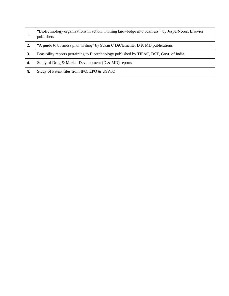| 1. | "Biotechnology organizations in action: Turning knowledge into business" by JesperNorus, Elsevier<br>publishers |
|----|-----------------------------------------------------------------------------------------------------------------|
|    | "A guide to business plan writing" by Susan C DiClemente, D & MD publications                                   |
| 3. | Feasibility reports pertaining to Biotechnology published by TIFAC, DST, Govt. of India.                        |
| 4. | Study of Drug & Market Development (D & MD) reports                                                             |
| 5. | Study of Patent files from IPO, EPO & USPTO                                                                     |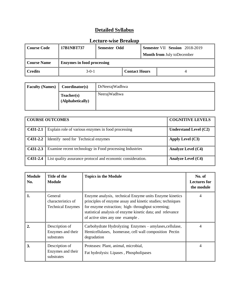| Course Code            | 17B1NBT737                        | Semester Odd |                      | <b>Semester VII Session</b> 2018-2019 |                                   |
|------------------------|-----------------------------------|--------------|----------------------|---------------------------------------|-----------------------------------|
|                        |                                   |              |                      |                                       | <b>Month from July toDecember</b> |
| <b>Course Name</b>     | <b>Enzymes in food processing</b> |              |                      |                                       |                                   |
| $\blacksquare$ Credits | $3-0-1$                           |              | <b>Contact Hours</b> |                                       |                                   |

| <b>Faculty (Names)</b> | Coordinator(s)                 | DrNeerajWadhwa |
|------------------------|--------------------------------|----------------|
|                        | Teacher(s)<br>(Alphabetically) | NeerajWadhwa   |

|            | <b>COURSE OUTCOMES</b>                                      | <b>COGNITIVE LEVELS</b>   |
|------------|-------------------------------------------------------------|---------------------------|
| $C431-2.1$ | Explain role of various enzymes in food processing          | Understand Level $(C2)$   |
|            | <b>C431-2.2</b> Identify need for Technical enzymes         | Apply Level (C3)          |
| $C431-2.3$ | Examine recent technology in Food processing Industries     | <b>Analyze Level (C4)</b> |
| $C431-2.4$ | List quality assurance protocol and economic consideration. | <b>Analyze Level (C4)</b> |

| <b>Module</b><br>No. | Title of the<br><b>Module</b>                             | <b>Topics in the Module</b>                                                                                                                                                                                                                                                  | No. of<br><b>Lectures for</b><br>the module |
|----------------------|-----------------------------------------------------------|------------------------------------------------------------------------------------------------------------------------------------------------------------------------------------------------------------------------------------------------------------------------------|---------------------------------------------|
| 1.                   | General<br>characteristics of<br><b>Technical Enzymes</b> | Enzyme analysis, technical Enzyme units Enzyme kinetics<br>principles of enzyme assay and kinetic studies; techniques<br>for enzyme extraction; high-throughput screening;<br>statistical analysis of enzyme kinetic data; and relevance<br>of active sites any one example. | 4                                           |
| 2.                   | Description of<br>Enzymes and their<br>substrates         | Carbohydrate Hydrolyzing Enzymes - amylases, cellulase,<br>Hemicellulases, Isomerase, cell wall composition Pectin<br>degradation                                                                                                                                            | 4                                           |
| 3.                   | Description of<br>Enzymes and their<br>substrates         | Proteases: Plant, animal, microbial,<br>Fat hydrolysis: Lipases, Phospholipases                                                                                                                                                                                              | 4                                           |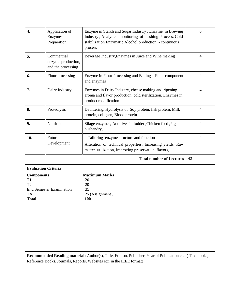| 4.                      |                                                        |                                                                                                                                                                                          |                          |
|-------------------------|--------------------------------------------------------|------------------------------------------------------------------------------------------------------------------------------------------------------------------------------------------|--------------------------|
|                         | Application of<br>Enzymes<br>Preparation               | Enzyme in Starch and Sugar Industry, Enzyme in Brewing<br>Industry, Analytical monitoring of mashing Process, Cold<br>stabilization Enzymatic Alcohol production - continuous<br>process | 6                        |
| 5.                      | Commercial<br>enzyme production,<br>and the processing | Beverage Industry, Enzymes in Juice and Wine making                                                                                                                                      | $\overline{\mathcal{A}}$ |
| 6.                      | Flour processing                                       | Enzyme in Flour Processing and Baking - Flour component<br>and enzymes                                                                                                                   | $\overline{4}$           |
| 7.                      | Dairy Industry                                         | Enzymes in Dairy Industry, cheese making and ripening<br>aroma and flavor production, cold sterilization, Enzymes in<br>product modification.                                            | $\overline{4}$           |
| 8.                      | Proteolysis                                            | Debittering, Hydrolysis of Soy protein, fish protein, Milk<br>protein, collagen, Blood protein                                                                                           | $\overline{4}$           |
| 9.                      | Nutrition                                              | Silage enzymes, Additives in fodder , Chicken feed , Pig<br>husbandry,                                                                                                                   | $\overline{4}$           |
| 10.                     | Future<br>Development                                  | Tailoring enzyme structure and function<br>Alteration of technical properties, Increasing yields, Raw<br>matter utilization, Improving preservation, flavors,                            | $\overline{4}$           |
|                         |                                                        | <b>Total number of Lectures</b>                                                                                                                                                          | 42                       |
| <b>Components</b><br>T1 | <b>Evaluation Criteria</b>                             | <b>Maximum Marks</b><br>20                                                                                                                                                               |                          |

**Recommended Reading material:** Author(s), Title, Edition, Publisher, Year of Publication etc. ( Text books, Reference Books, Journals, Reports, Websites etc. in the IEEE format)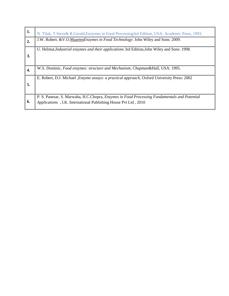| 1. | N. Tilak, T. Steve & R. Gerald, Enzymes in Food Processing 3rd Edition, USA: Academic Press, 1993.                                                                     |
|----|------------------------------------------------------------------------------------------------------------------------------------------------------------------------|
| 2. | J.W. Robert. & V.O.Maarten Enzymes in Food Technology: John Wiley and Sons: 2009.                                                                                      |
| 3. | U. Helmut, <i>Industrial enzymes and their applications</i> 3rd Edition, John Wiley and Sons: 1998.                                                                    |
| 4. | W.S. Dominic, Food enzymes: structure and Mechanism, Chapman&Hall, USA: 1995.                                                                                          |
| 5. | E. Robert, D.J. Michael <i>,Enzyme assays: a practical approach</i> , Oxford University Press: 2002                                                                    |
| 6. | P. S. Panesar, S. Marwaha, H.C.Chopra, <i>Enzymes in Food Processing Fundamentals and Potential</i><br>Applications, I.K. International Publishing House Pvt Ltd, 2010 |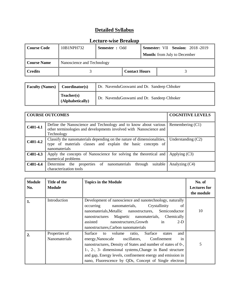| <b>Course Code</b> | 10B1NPH732                 | <b>Semester</b> : Odd |                      |  |                                     | <b>Semester: VII Session: 2018 -2019</b> |
|--------------------|----------------------------|-----------------------|----------------------|--|-------------------------------------|------------------------------------------|
|                    |                            |                       |                      |  | <b>Month:</b> from July to December |                                          |
| <b>Course Name</b> | Nanoscience and Technology |                       |                      |  |                                     |                                          |
| <b>Credits</b>     |                            |                       | <b>Contact Hours</b> |  |                                     |                                          |

| <b>Faculty (Names)</b><br>Coordinator(s) |                                | Dr. NavenduGoswami and Dr. Sandeep Chhoker |
|------------------------------------------|--------------------------------|--------------------------------------------|
|                                          | Teacher(s)<br>(Alphabetically) | Dr. NavenduGoswami and Dr. Sandeep Chhoker |

|                              | <b>COURSE OUTCOMES</b>                                                                                                                                  | <b>COGNITIVE LEVELS</b> |
|------------------------------|---------------------------------------------------------------------------------------------------------------------------------------------------------|-------------------------|
| $C401-4.1$                   | Define the Nanoscience and Technology and to know about various<br>other terminologies and developments involved with Nanoscience and<br>Technology     | Remembering (C1)        |
| $\big $ C401-4.2             | Classify the nanomaterials depending on the nature of dimensionalities,<br>type of materials classes and explain the basic concepts of<br>nanomaterials | Understanding $(C2)$    |
| $\vert$ C401-4.3             | Apply the concepts of Nanoscience for solving the theoretical and<br>numerical problems                                                                 | Applying $(C3)$         |
| $\big $ C <sub>401-4.4</sub> | properties of nanomaterials<br>suitable<br>Determine the<br>through<br>characterization tools                                                           | Analyzing $(C4)$        |

| <b>Module</b><br>No. | Title of the<br><b>Module</b>  | <b>Topics in the Module</b>                                                                                                                                                                                                                                                                                                                                     | No. of<br><b>Lectures for</b><br>the module |
|----------------------|--------------------------------|-----------------------------------------------------------------------------------------------------------------------------------------------------------------------------------------------------------------------------------------------------------------------------------------------------------------------------------------------------------------|---------------------------------------------|
| 1.                   | Introduction                   | Development of nanoscience and nanotechnology, naturally<br>occurring<br>nanomaterials,<br>Crystallinity<br>of<br>nanomaterials, Metallic nanostructures, Semiconductor<br>nanostructures Magnetic nanomaterials, Chemically<br>$\sin$<br>assisted<br>$2-D$<br>nanostructures, Growth<br>nanostructures, Carbon nanomaterials                                   | 10                                          |
| 2.                   | Properties of<br>Nanomaterials | Surface to volume ratio,<br>Surface<br>and<br>states<br>energy, Nanoscale oscillators,<br>Confinement<br>in<br>nanostructures, Density of States and number of states of 0-,<br>1-, 2-, 3- dimensional systems, Change in Band structure<br>and gap, Energy levels, confinement energy and emission in<br>nano, Fluorescence by QDs, Concept of Single electron | 5                                           |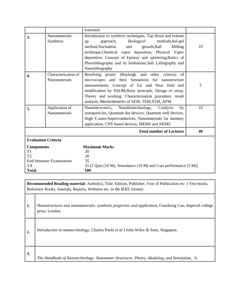|                                                                                               |                                      | transistor                                                                                                                                                                                                                                                                                                                                                                  |    |
|-----------------------------------------------------------------------------------------------|--------------------------------------|-----------------------------------------------------------------------------------------------------------------------------------------------------------------------------------------------------------------------------------------------------------------------------------------------------------------------------------------------------------------------------|----|
| 3.                                                                                            | <b>Nanomaterials</b><br>Synthesis    | Introduction to synthesis techniques, Top down and bottom<br>Biological<br>methods, Sol-gel<br>approach,<br>up<br>method, Nucleation<br>and<br>growth, Ball<br>Milling<br>technique, Chemical vapor deposition, Physical Vapor<br>deposition: Concept of Epitaxy and sputtering, Basics of<br>Photolithography and its limitations, Soft Lithography and<br>Nanolithography | 10 |
| 4.                                                                                            | Characterization of<br>Nanomaterials | Resolving power (Rayleigh and other criteria)<br>of<br>microscopes and their limitations for nanostructure<br>measurements, Concept of Far and Near field and<br>modification by NSOM, Basic principle, Design of setup,<br>Theory and working, Characterization procedure, result<br>analysis, Merits/demerits of SEM, TEM, STM, AFM                                       | 5  |
| 5.                                                                                            | Application of<br>Nanomaterials      | Nanobiotechnology,<br>Nanoelectronics,<br>Catalysis<br>by<br>nanoparticles, Quantum dot devices, Quantum well devices,<br>High T <sub>c</sub> nano-Superconductors, Nanomaterials for memory<br>application, CNT based devices, MEMS and NEMS                                                                                                                               | 10 |
|                                                                                               |                                      | <b>Total number of Lectures</b>                                                                                                                                                                                                                                                                                                                                             | 40 |
| <b>Evaluation Criteria</b>                                                                    |                                      |                                                                                                                                                                                                                                                                                                                                                                             |    |
| <b>Components</b><br>T1<br>T2<br><b>End Semester Examination</b><br><b>TA</b><br><b>Total</b> |                                      | <b>Maximum Marks</b><br>20<br>20<br>35<br>25 [2 Quiz (10 M), Attendance (10 M) and Cass performance (5 M)]<br>100                                                                                                                                                                                                                                                           |    |

**Recommended Reading material:** Author(s), Title, Edition, Publisher, Year of Publication etc. ( Text books, Reference Books, Journals, Reports, Websites etc. in the IEEE format)

**1.** *Nanostructures and nanomaterials: synthesis properties and application*, Guozhong Cao, Imperial college press, London.

**2.** *Introduction to nanotechnology,* Charles Poole *et al* <sup>J</sup> John Wiley & Sons, Singapore.

**3.**

*The Handbook of Nanotechnology: Nanometer Structures, Theory, Modeling, and Simulation*, A.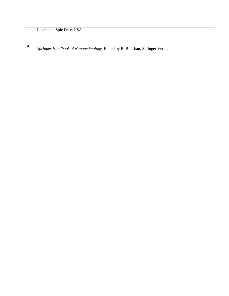|      | Lakhtakia, Spie Press USA.                                                  |
|------|-----------------------------------------------------------------------------|
| - 4. | Springer Handbook of Nanotechnology, Edited by B. Bhushan, Springer Verlag. |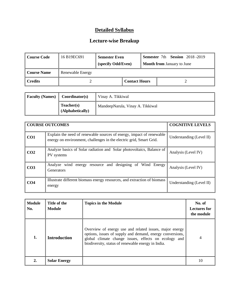| Course Code            | 16 B19EC691      | <b>Semester Even</b><br>(specify Odd/Even) |                      |  | <b>Semester</b> 7th <b>Session</b> 2018-2019<br><b>Month from January to June</b> |
|------------------------|------------------|--------------------------------------------|----------------------|--|-----------------------------------------------------------------------------------|
| <b>Course Name</b>     | Renewable Energy |                                            |                      |  |                                                                                   |
| $\blacksquare$ Credits |                  |                                            | <b>Contact Hours</b> |  |                                                                                   |

| <b>Faculty (Names)</b> | Coordinator(s)                 | Vinay A. Tikkiwal                |
|------------------------|--------------------------------|----------------------------------|
|                        | Teacher(s)<br>(Alphabetically) | MandeepNarula, Vinay A. Tikkiwal |

|                 | <b>COURSE OUTCOMES</b>                                                                                                                      | <b>COGNITIVE LEVELS</b>  |
|-----------------|---------------------------------------------------------------------------------------------------------------------------------------------|--------------------------|
| CO <sub>1</sub> | Explain the need of renewable sources of energy, impact of renewable<br>energy on environment, challenges in the electric grid, Smart Grid. | Understanding (Level II) |
| CO <sub>2</sub> | Analyze basics of Solar radiation and Solar photovoltaics, Balance of<br>PV systems                                                         | Analysis (Level IV)      |
| CO <sub>3</sub> | Analyze wind energy resource and designing of Wind Energy<br><b>Generators</b>                                                              | Analysis (Level IV)      |
| CO <sub>4</sub> | Illustrate different biomass energy resources, and extraction of biomass<br>energy                                                          | Understanding (Level II) |

| <b>Module</b><br>No. | Title of the<br><b>Module</b> | <b>Topics in the Module</b>                                                                                                                                                                                                        | No. of<br><b>Lectures for</b><br>the module |
|----------------------|-------------------------------|------------------------------------------------------------------------------------------------------------------------------------------------------------------------------------------------------------------------------------|---------------------------------------------|
| 1.                   | <b>Introduction</b>           | Overview of energy use and related issues, major energy<br>options, issues of supply and demand, energy conversions,<br>global climate change issues, effects on ecology and<br>biodiversity, status of renewable energy in India. | $\overline{4}$                              |
|                      | <b>Solar Energy</b>           |                                                                                                                                                                                                                                    |                                             |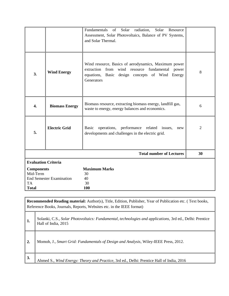|                                 |                            | Fundamentals<br>of<br>Solar<br>radiation,<br>Solar<br>Resource<br>Assessment, Solar Photovoltaics, Balance of PV Systems,<br>and Solar Thermal.                                   |                |  |  |  |
|---------------------------------|----------------------------|-----------------------------------------------------------------------------------------------------------------------------------------------------------------------------------|----------------|--|--|--|
| 3.                              | <b>Wind Energy</b>         | Wind resource, Basics of aerodynamics, Maximum power<br>extraction<br>from wind resource fundamental<br>power<br>equations, Basic design concepts of Wind<br>Energy<br>Generators | 8              |  |  |  |
| 4.                              | <b>Biomass Energy</b>      | Biomass resource, extracting biomass energy, landfill gas,<br>waste to energy, energy balances and economics.                                                                     | 6              |  |  |  |
| <b>Electric Grid</b><br>5.      |                            | operations, performance related issues,<br>Basic<br>new<br>developments and challenges in the electric grid.                                                                      | $\overline{2}$ |  |  |  |
|                                 |                            | <b>Total number of Lectures</b>                                                                                                                                                   | 30             |  |  |  |
|                                 | <b>Evaluation Criteria</b> |                                                                                                                                                                                   |                |  |  |  |
| <b>Components</b>               |                            | <b>Maximum Marks</b>                                                                                                                                                              |                |  |  |  |
| Mid-Term                        |                            | 30                                                                                                                                                                                |                |  |  |  |
| <b>End Semester Examination</b> |                            | 40<br>30                                                                                                                                                                          |                |  |  |  |
| <b>TA</b><br><b>Total</b>       |                            | 100                                                                                                                                                                               |                |  |  |  |

|    | Recommended Reading material: Author(s), Title, Edition, Publisher, Year of Publication etc. (Text books,<br>Reference Books, Journals, Reports, Websites etc. in the IEEE format) |  |  |  |  |
|----|------------------------------------------------------------------------------------------------------------------------------------------------------------------------------------|--|--|--|--|
| 1. | Solanki, C.S., Solar Photovoltaics: Fundamental, technologies and applications, 3rd ed., Delhi: Prentice<br>Hall of India, 2015                                                    |  |  |  |  |
| 2. | Momoh, J., Smart Grid: Fundamentals of Design and Analysis, Wiley-IEEE Press, 2012.                                                                                                |  |  |  |  |
| 3. | Ahmed S., Wind Energy: Theory and Practice, 3rd ed., Delhi: Prentice Hall of India, 2016                                                                                           |  |  |  |  |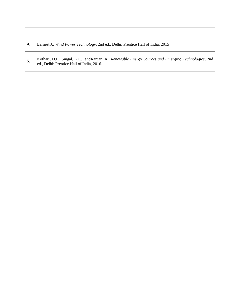| Earnest J., Wind Power Technology, 2nd ed., Delhi: Prentice Hall of India, 2015                                                                  |
|--------------------------------------------------------------------------------------------------------------------------------------------------|
| Kothari, D.P., Singal, K.C. and Ranjan, R., Renewable Energy Sources and Emerging Technologies, 2nd<br>ed., Delhi: Prentice Hall of India, 2016. |

 $\blacksquare$ 

┱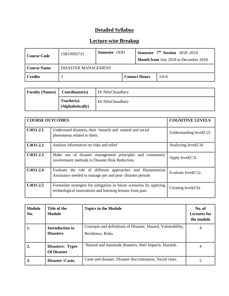| Course Code                                 | 15B1NHS731 | Semester ODD |  | Semester $7th$ Session 2018-2019<br><b>Month from July 2018 to December 2018</b> |         |
|---------------------------------------------|------------|--------------|--|----------------------------------------------------------------------------------|---------|
| <b>DISASTER MANAGEMENT</b><br>  Course Name |            |              |  |                                                                                  |         |
| l Credits                                   |            |              |  | <b>Contact Hours</b>                                                             | $3-0-0$ |

| <b>Faculty (Names)</b> | Coordinator(s)                 | Dr NiluChoudhary |
|------------------------|--------------------------------|------------------|
|                        | Teacher(s)<br>(Alphabetically) | Dr NiluChoudhary |

| <b>COURSE OUTCOMES</b>                         | <b>COGNITIVE LEVELS</b>                                                                                                          |                           |
|------------------------------------------------|----------------------------------------------------------------------------------------------------------------------------------|---------------------------|
| C <sub>4</sub> O <sub>1</sub> -2 <sub>.1</sub> | Understand disasters, their hazards and natural and social<br>phenomena related to them.                                         | Understanding $level(C2)$ |
| C <sub>4</sub> O <sub>1</sub> -2.2             | Analyse information on risks and relief                                                                                          | Analyzing $level(C4)$     |
| C <sub>4</sub> O <sub>1</sub> -2.3             | Make use of disaster management principles and community<br>involvement methods in Disaster Risk Reduction.                      | Apply $level(C3)$         |
| C <sub>4</sub> O <sub>1</sub> -2.4             | Evaluate the role of different approaches and Humanitarian<br>Assistance needed to manage pre and post-disaster periods          | Evaluate $level(C5)$      |
| C <sub>4</sub> O <sub>1</sub> -2.5             | Formulate strategies for mitigation in future scenarios by applying<br>technological innovations and learning lessons from past. | Creating level $(C6)$     |

| <b>Module</b><br>No. | Title of the<br>Module                        | <b>Topics in the Module</b>                                                       | No. of<br><b>Lectures for</b><br>the module |
|----------------------|-----------------------------------------------|-----------------------------------------------------------------------------------|---------------------------------------------|
| 1.                   | <b>Introduction to</b><br><b>Disasters</b>    | Concepts and definitions of Disaster, Hazard, Vulnerability,<br>Resilience, Risks |                                             |
| $\overline{2}$ .     | <b>Disasters: Types</b><br><b>Of Disaster</b> | Natural and manmade disasters, their Impacts, Hazards.                            |                                             |
| 3.                   | Disaster : Caste,                             | Caste and disaster, Disaster discrimination, Social class,                        |                                             |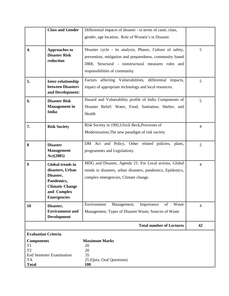|                                                                                                      | <b>Class and Gender</b>                                                                                                               | Differential impacts of disaster - in terms of caste, class,<br>gender, age location, Role of Women's in Disaster.                                                                                           |                |
|------------------------------------------------------------------------------------------------------|---------------------------------------------------------------------------------------------------------------------------------------|--------------------------------------------------------------------------------------------------------------------------------------------------------------------------------------------------------------|----------------|
| $\overline{4}$ .                                                                                     | <b>Approaches to</b><br><b>Disaster Risk</b><br>reduction                                                                             | Disaster cycle - its analysis, Phases, Culture of safety,<br>prevention, mitigation and preparedness, community based<br>DRR, Structural - nonstructural measures roles and<br>responsibilities of community | 5              |
| 5.                                                                                                   | Inter-relationship<br>between Disasters<br>and Development:                                                                           | Factors affecting Vulnerabilities,<br>differential impacts,<br>impact of appropriate technology and local resources.                                                                                         | 5              |
| 6.                                                                                                   | <b>Disaster Risk</b><br><b>Management</b> in<br>India:                                                                                | Hazard and Vulnerability profile of India Components of<br>Disaster Relief: Water, Food, Sanitation, Shelter, and<br>Health                                                                                  | 5              |
| 7.                                                                                                   | <b>Risk Society</b>                                                                                                                   | Risk Society in 1992, Ulrick Beck, Processes of<br>Modernization, The new paradigm of risk society                                                                                                           | $\overline{4}$ |
| 8                                                                                                    | <b>Disaster</b><br><b>Management</b><br>Act(2005)                                                                                     | DM Act and Policy, Other related policies, plans,<br>programmes and Legislation).                                                                                                                            | $\overline{2}$ |
| 9                                                                                                    | <b>Global trends in</b><br>disasters, Urban<br>Disaster,<br>Pandemics,<br><b>Climatic Change</b><br>and Complex<br><b>Emergencies</b> | MDG and Disaster, Agenda 21: For Local actions, Global<br>trends in disasters, urban disasters, pandemics, Epidemics,<br>complex emergencies, Climate change.                                                | $\overline{4}$ |
| 10                                                                                                   | Disaster,<br><b>Environment</b> and<br>Development                                                                                    | Environment<br>Waste<br>Management,<br>Importance<br>of<br>Management, Types of Disaster Waste, Sources of Waste                                                                                             | $\overline{4}$ |
|                                                                                                      |                                                                                                                                       | <b>Total number of Lectures</b>                                                                                                                                                                              | 42             |
| <b>Evaluation Criteria</b><br><b>Components</b><br>T1<br>T <sub>2</sub><br><b>TA</b><br><b>Total</b> | <b>End Semester Examination</b>                                                                                                       | <b>Maximum Marks</b><br>20<br>20<br>35<br>25 (Quiz, Oral Questions)<br><b>100</b>                                                                                                                            |                |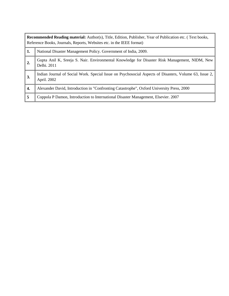| <b>Recommended Reading material:</b> Author(s), Title, Edition, Publisher, Year of Publication etc. (Text books,<br>Reference Books, Journals, Reports, Websites etc. in the IEEE format) |                                                                                                                       |  |  |  |
|-------------------------------------------------------------------------------------------------------------------------------------------------------------------------------------------|-----------------------------------------------------------------------------------------------------------------------|--|--|--|
| 1.                                                                                                                                                                                        | National Disaster Management Policy. Government of India, 2009.                                                       |  |  |  |
| $\overline{2}$ .                                                                                                                                                                          | Gupta Anil K, Sreeja S. Nair. Environmental Knowledge for Disaster Risk Management, NIDM, New<br>Delhi. 2011          |  |  |  |
| 3.                                                                                                                                                                                        | Indian Journal of Social Work. Special Issue on Psychosocial Aspects of Disasters, Volume 63, Issue 2,<br>April. 2002 |  |  |  |
| 4.                                                                                                                                                                                        | Alexander David, Introduction in "Confronting Catastrophe", Oxford University Press, 2000                             |  |  |  |
| 5                                                                                                                                                                                         | Coppola P Damon, Introduction to International Disaster Management, Elsevier. 2007                                    |  |  |  |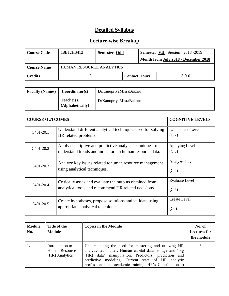| Course Code | 18B12HS412 | Semester Odd                         |                      |  | <b>Semester VII Session</b> 2018 -2019 |  |
|-------------|------------|--------------------------------------|----------------------|--|----------------------------------------|--|
|             |            | Month from July 2018 - December 2018 |                      |  |                                        |  |
| Course Name |            | <b>HUMAN RESOURCE ANALYTICS</b>      |                      |  |                                        |  |
| l Credits   |            |                                      | <b>Contact Hours</b> |  | $3-0-0$                                |  |

| <b>Faculty (Names)</b> | Coordinator(s)                 | DrKanupriyaMisraBakhru |
|------------------------|--------------------------------|------------------------|
|                        | Teacher(s)<br>(Alphabetically) | DrKanupriyaMisraBakhru |

| <b>COURSE OUTCOMES</b> | <b>COGNITIVE LEVELS</b>                                                                                             |                                              |
|------------------------|---------------------------------------------------------------------------------------------------------------------|----------------------------------------------|
| C <sub>401</sub> -20.1 | Understand different analytical techniques used for solving<br>HR related problems.                                 | <b>Understand Level</b><br>(C <sub>2</sub> ) |
| C <sub>401</sub> -20.2 | Apply descriptive and predictive analysis techniques to<br>understand trends and indicators in human resource data. | Applying Level<br>(C <sub>3</sub> )          |
| C <sub>401</sub> -20.3 | Analyze key issues related to human resource management<br>using analytical techniques.                             | Analyze Level<br>(C <sub>4</sub> )           |
| $C401-20.4$            | Critically asses and evaluate the outputs obtained from<br>analytical tools and recommend HR related decisions.     | <b>Evaluate Level</b><br>(C <sub>5</sub> )   |
| C <sub>401</sub> -20.5 | Create hypotheses, propose solutions and validate using<br>appropriate analytical teheniques                        | <b>Create Level</b><br>(C6)                  |

| Module<br>No. | Title of the<br><b>Module</b>                       | <b>Topics in the Module</b>                                                                                                                                                                                                                                                               | No. of<br><b>Lectures for</b><br>the module |
|---------------|-----------------------------------------------------|-------------------------------------------------------------------------------------------------------------------------------------------------------------------------------------------------------------------------------------------------------------------------------------------|---------------------------------------------|
| 1.            | Introduction to<br>Human Resource<br>(HR) Analytics | Understanding the need for mastering and utilizing HR<br>analytic techniques, Human capital data storage and 'big<br>(HR) data' manipulation, Predictors, prediction and<br>predictive modeling, Current state of HR analytic<br>professional and academic training, HR's Contribution to | 8                                           |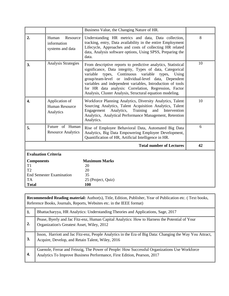|                                 |                                                                                                                                                                                                                                                                                                               | Business Value, the Changing Nature of HR.                                                                                                                                                                                                                                                                                                                                                                                            |    |  |
|---------------------------------|---------------------------------------------------------------------------------------------------------------------------------------------------------------------------------------------------------------------------------------------------------------------------------------------------------------|---------------------------------------------------------------------------------------------------------------------------------------------------------------------------------------------------------------------------------------------------------------------------------------------------------------------------------------------------------------------------------------------------------------------------------------|----|--|
| 2.                              | Resource<br>Human<br>Understanding HR metrics and data, Data collection,<br>tracking, entry, Data availability in the entire Employment<br>information<br>Lifecycle, Approaches and costs of collecting HR related<br>systems and data<br>data, Analysis software options, Using SPSS, Preparing the<br>data. |                                                                                                                                                                                                                                                                                                                                                                                                                                       |    |  |
| 3.                              | <b>Analysis Strategies</b>                                                                                                                                                                                                                                                                                    | From descriptive reports to predictive analytics, Statistical<br>significance, Data integrity, Types of data, Categorical<br>Continuous<br>variable<br>variable types,<br>types,<br>Using<br>group/team-level or individual-level data, Dependent<br>variables and independent variables, Introduction of tools<br>for HR data analysis: Correlation, Regression, Factor<br>Analysis, Cluster Analysis, Structural equation modeling. | 10 |  |
| $\overline{4}$ .                | Application of<br><b>Human Resource</b><br>Analytics                                                                                                                                                                                                                                                          | Workforce Planning Analytics, Diversity Analytics, Talent<br>Sourcing Analytics, Talent Acquisition Analytics, Talent<br>Engagement Analytics,<br>Training<br>and Intervention<br>Analytics, Analytical Performance Management, Retention<br>Analytics.                                                                                                                                                                               | 10 |  |
| 5.                              | Future of Human<br><b>Resource Analytics</b>                                                                                                                                                                                                                                                                  | Rise of Employee Behavioral Data, Automated Big Data<br>Analytics, Big Data Empowering Employee Development,<br>Quantification of HR, Artificial Intelligence in HR.                                                                                                                                                                                                                                                                  | 6  |  |
|                                 |                                                                                                                                                                                                                                                                                                               | <b>Total number of Lectures</b>                                                                                                                                                                                                                                                                                                                                                                                                       | 42 |  |
| <b>Evaluation Criteria</b>      |                                                                                                                                                                                                                                                                                                               |                                                                                                                                                                                                                                                                                                                                                                                                                                       |    |  |
| <b>Components</b>               |                                                                                                                                                                                                                                                                                                               | <b>Maximum Marks</b>                                                                                                                                                                                                                                                                                                                                                                                                                  |    |  |
| T <sub>1</sub><br>T2            |                                                                                                                                                                                                                                                                                                               | 20                                                                                                                                                                                                                                                                                                                                                                                                                                    |    |  |
| <b>End Semester Examination</b> |                                                                                                                                                                                                                                                                                                               | 20<br>35                                                                                                                                                                                                                                                                                                                                                                                                                              |    |  |
| <b>TA</b>                       |                                                                                                                                                                                                                                                                                                               | 25 (Project, Quiz)                                                                                                                                                                                                                                                                                                                                                                                                                    |    |  |
| <b>Total</b>                    |                                                                                                                                                                                                                                                                                                               | 100                                                                                                                                                                                                                                                                                                                                                                                                                                   |    |  |

**Recommended Reading material:** Author(s), Title, Edition, Publisher, Year of Publication etc. ( Text books, Reference Books, Journals, Reports, Websites etc. in the IEEE format)

| 1.                      | Bhattacharyya, HR Analytics: Understanding Theories and Applications, Sage, 2017                                                                                        |
|-------------------------|-------------------------------------------------------------------------------------------------------------------------------------------------------------------------|
| $^{\prime}$ 2.          | Pease, Byerly and Jac Fitz-enz, Human Capital Analytics: How to Harness the Potential of Your<br>Organization's Greatest Asset, Wiley, 2012                             |
| 3.                      | Isson, Harriott and Jac Fitz-enz, People Analytics in the Era of Big Data: Changing the Way You Attract,<br>Acquire, Develop, and Retain Talent, Wiley, 2016            |
| $\ddot{\phantom{0}}$ 4. | Guenole, Ferrar and Feinzig, The Power of People: How Successful Organizations Use Workforce<br>Analytics To Improve Business Performance, First Edition, Pearson, 2017 |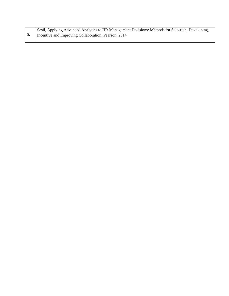|            | Sesil, Applying Advanced Analytics to HR Management Decisions: Methods for Selection, Developing, |
|------------|---------------------------------------------------------------------------------------------------|
| $\vert 5.$ | Incentive and Improving Collaboration, Pearson, 2014                                              |
|            |                                                                                                   |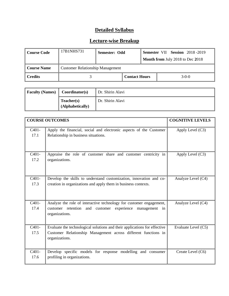| Course Code         | 17B1NHS731                              | Semester: Odd |                      |  | <b>Semester VII Session 2018-2019</b> |  |
|---------------------|-----------------------------------------|---------------|----------------------|--|---------------------------------------|--|
|                     |                                         |               |                      |  | Month from July 2018 to Dec 2018      |  |
| <b>Course Name</b>  | <b>Customer Relationship Management</b> |               |                      |  |                                       |  |
| $\parallel$ Credits |                                         |               | <b>Contact Hours</b> |  | $3-0-0$                               |  |

| <b>Faculty (Names)</b> | Coordinator(s)                 | Dr. Shirin Alavi |
|------------------------|--------------------------------|------------------|
|                        | Teacher(s)<br>(Alphabetically) | Dr. Shirin Alavi |

|                            | <b>COURSE OUTCOMES</b>                                                                                                                                        | <b>COGNITIVE LEVELS</b> |
|----------------------------|---------------------------------------------------------------------------------------------------------------------------------------------------------------|-------------------------|
| C <sub>401</sub> -<br>17.1 | Apply the financial, social and electronic aspects of the Customer<br>Relationship in business situations.                                                    | Apply Level $(C3)$      |
| $C401-$<br>17.2            | Appraise the role of customer share and customer centricity in<br>organizations.                                                                              | Apply Level (C3)        |
| $C401-$<br>17.3            | Develop the skills to understand customization, innovation and co-<br>creation in organizations and apply them in business contexts.                          | Analyze Level (C4)      |
| $C401-$<br>17.4            | Analyze the role of interactive technology for customer engagement,<br>customer retention<br>and<br>customer experience<br>management<br>in<br>organizations. | Analyze Level (C4)      |
| $C401-$<br>17.5            | Evaluate the technological solutions and their applications for effective<br>Customer Relationship Management across different functions in<br>organizations. | Evaluate Level (C5)     |
| $C401-$<br>17.6            | Develop specific models for response modelling and consumer<br>profiling in organizations.                                                                    | Create Level (C6)       |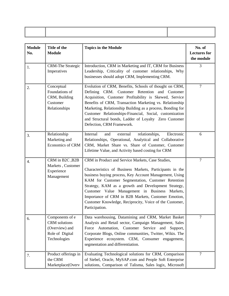| <b>Module</b><br>No. | Title of the<br><b>Module</b>                                                                | <b>Topics in the Module</b>                                                                                                                                                                                                                                                                                                                                                                                                                                               | No. of<br><b>Lectures</b> for<br>the module |
|----------------------|----------------------------------------------------------------------------------------------|---------------------------------------------------------------------------------------------------------------------------------------------------------------------------------------------------------------------------------------------------------------------------------------------------------------------------------------------------------------------------------------------------------------------------------------------------------------------------|---------------------------------------------|
| 1.                   | <b>CRM-The Strategic</b><br>Imperatives                                                      | Introduction, CRM in Marketing and IT, CRM for Business<br>Leadership, Criticality of customer relationships, Why<br>businesses should adopt CRM, Implementing CRM.                                                                                                                                                                                                                                                                                                       | 3                                           |
| 2.                   | Conceptual<br>Foundations of<br>CRM, Building<br>Customer<br>Relationships                   | Evolution of CRM, Benefits, Schools of thought on CRM,<br>Defining CRM. Customer Retention and Customer<br>Acquisition, Customer Profitability is Skewed, Service<br>Benefits of CRM, Transaction Marketing vs. Relationship<br>Marketing, Relationship Building as a process, Bonding for<br>Customer Relationships-Financial, Social, customization<br>and Structural bonds, Ladder of Loyalty Zero Customer<br>Defection, CRM Framework.                               | $\overline{7}$                              |
| 3.                   | Relationship<br>Marketing and<br>Economics of CRM                                            | Internal<br>relationships,<br>Electronic<br>and<br>external<br>Relationships, Operational, Analytical and Collaborative<br>CRM, Market Share vs. Share of Customer, Customer<br>Lifetime Value, and Activity based costing for CRM                                                                                                                                                                                                                                        | 6                                           |
| 4.                   | CRM in B2C, B2B<br>Markets, Customer<br>Experience<br>Management                             | CRM in Product and Service Markets, Case Studies,<br>Characteristics of Business Markets, Participants in the<br>business buying process, Key Account Management, Using<br>KAM for Customer Segmentation, Customer Retention<br>Strategy, KAM as a growth and Development Strategy,<br>Customer Value Management in Business Markets,<br>Importance of CRM in B2B Markets, Customer Emotion,<br>Customer Knowledge, Reciprocity, Voice of the Customer,<br>Participation. | $\tau$                                      |
| 6.                   | Components of e<br><b>CRM</b> solutions<br>(Overview) and<br>Role of Digital<br>Technologies | Data warehousing, Datamining and CRM, Market Basket<br>Analysis and Retail sector, Campaign Management, Sales<br>Force Automation, Customer Service and<br>Support,<br>Corporate Blogs, Online communities, Twitter, Wikis. The<br>Experience ecosystem. CEM,<br>Consumer engagement,<br>segmentation and differentiation.                                                                                                                                                | $\overline{7}$                              |
| 7.                   | Product offerings in<br>the CRM<br>Marketplace(Overv                                         | Evaluating Technological solutions for CRM, Comparison<br>of Siebel, Oracle, MySAP.com and People Soft Enterprise<br>solutions, Comparison of Talisma, Sales logix, Microsoft                                                                                                                                                                                                                                                                                             | 7                                           |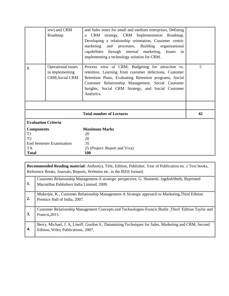|                                     | iew) and CRM<br>Roadmap                                         | and Sales notes for small and medium enterprises, Defining<br>a CRM strategy, CRM Implementation Roadmap,<br>Developing a relationship orientation, Customer centric<br>marketing<br>and processes, Building organizational<br>capabilities through internal marketing,<br>Issues<br>in<br>implementing a technology solution for CRM. |    |
|-------------------------------------|-----------------------------------------------------------------|----------------------------------------------------------------------------------------------------------------------------------------------------------------------------------------------------------------------------------------------------------------------------------------------------------------------------------------|----|
| 8.                                  | Operational issues<br>in implementing<br><b>CRM, Social CRM</b> | Process view of CRM, Budgeting for attraction vs.<br>retention, Learning from customer defections, Customer<br>Retention Plans, Evaluating Retention programs, Social<br>Customer Relationship Management, Social Customer<br>Insights, Social CRM Strategy, and Social Customer<br>Analytics.                                         | 5  |
|                                     |                                                                 |                                                                                                                                                                                                                                                                                                                                        |    |
|                                     |                                                                 | <b>Total number of Lectures</b>                                                                                                                                                                                                                                                                                                        | 42 |
| <b>Evaluation Criteria</b>          |                                                                 |                                                                                                                                                                                                                                                                                                                                        |    |
| <b>Components</b><br>T <sub>1</sub> |                                                                 | <b>Maximum Marks</b><br>20                                                                                                                                                                                                                                                                                                             |    |
| T2                                  |                                                                 | 20                                                                                                                                                                                                                                                                                                                                     |    |
| <b>End Semester Examination</b>     |                                                                 | 35                                                                                                                                                                                                                                                                                                                                     |    |
| <b>TA</b>                           |                                                                 | 25 (Project: Report and Viva)                                                                                                                                                                                                                                                                                                          |    |
| <b>Total</b>                        |                                                                 | 100                                                                                                                                                                                                                                                                                                                                    |    |

|    | <b>Recommended Reading material:</b> Author(s), Title, Edition, Publisher, Year of Publication etc. (Text books,<br>Reference Books, Journals, Reports, Websites etc. in the IEEE format) |
|----|-------------------------------------------------------------------------------------------------------------------------------------------------------------------------------------------|
| 1. | Customer Relationship Management-A strategic perspective, G. Shainesh, Jagdish Sheth, Reprinted<br>Macmillan Publishers India Limited, 2009.                                              |
| 2. | Mukerjee, K., Customer Relationship Management-A Strategic approach to Marketing, Third Edition<br>Prentice Hall of India, 2007.                                                          |
| 3. | Customer Relationship Management Concepts and Technologies-Francis Buttle, Third Edition Taylor and<br>Francis, 2015.                                                                     |
| 4. | Berry, Michael, J. A, Linoff, Gordon S., Datamining Techniques for Sales, Marketing and CRM, Second<br>Edition, Wiley Publications, 2007.                                                 |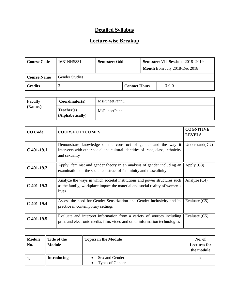| Course Code                                 | 16B1NHS831            | <b>Semester: Odd</b> |  | Semester: VII Session 2018-2019<br>Month from July 2018-Dec 2018 |  |  |
|---------------------------------------------|-----------------------|----------------------|--|------------------------------------------------------------------|--|--|
| Course Name                                 | <b>Gender Studies</b> |                      |  |                                                                  |  |  |
| $\parallel$ Credits<br><b>Contact Hours</b> |                       | $3-0-0$              |  |                                                                  |  |  |

| <b>Faculty</b> | Coordinator(s)                 | MsPuneetPannu |
|----------------|--------------------------------|---------------|
| (Names)        | Teacher(s)<br>(Alphabetically) | MsPuneetPannu |

| <b>CO</b> Code | <b>COURSE OUTCOMES</b>                                                                                                                                             | <b>COGNITIVE</b><br><b>LEVELS</b> |
|----------------|--------------------------------------------------------------------------------------------------------------------------------------------------------------------|-----------------------------------|
| $C$ 401-19.1   | Demonstrate knowledge of the construct of gender and the way it<br>intersects with other social and cultural identities of race, class, ethnicity<br>and sexuality | Understand(C2)                    |
| $C$ 401-19.2   | Apply feminist and gender theory in an analysis of gender including an<br>examination of the social construct of femininity and masculinity                        | Apply $(C3)$                      |
| $C$ 401-19.3   | Analyze the ways in which societal institutions and power structures such<br>as the family, workplace impact the material and social reality of women's<br>lives   | Analyze $(C4)$                    |
| $C$ 401-19.4   | Assess the need for Gender Sensitization and Gender Inclusivity and its<br>practice in contemporary settings                                                       | Evaluate $(C5)$                   |
| $C$ 401-19.5   | Evaluate and interpret information from a variety of sources including<br>print and electronic media, film, video and other information technologies               | Evaluate $(C5)$                   |

| Module<br>No. | Title of the<br>Module | <b>Topics in the Module</b>       | No. of<br><b>Lectures for</b><br>the module |
|---------------|------------------------|-----------------------------------|---------------------------------------------|
| -1.           | <b>Introducing</b>     | Sex and Gender<br>Types of Gender |                                             |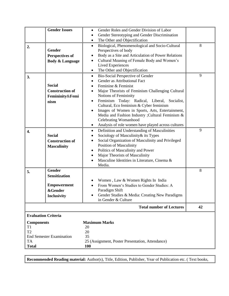|                                 | <b>Gender Issues</b>       | Gender Roles and Gender Division of Labor<br>$\bullet$                |    |
|---------------------------------|----------------------------|-----------------------------------------------------------------------|----|
|                                 |                            | Gender Stereotyping and Gender Discrimination<br>$\bullet$            |    |
|                                 |                            | The Other and Objectification<br>$\bullet$                            |    |
| 2.                              |                            | Biological, Phenomenological and Socio-Cultural<br>$\bullet$          | 8  |
|                                 | Gender                     | Perspectives of body                                                  |    |
|                                 | <b>Perspectives of</b>     | Body as a Site and Articulation of Power Relations<br>$\bullet$       |    |
|                                 | <b>Body &amp; Language</b> | Cultural Meaning of Female Body and Women's<br>$\bullet$              |    |
|                                 |                            | <b>Lived Experiences</b>                                              |    |
|                                 |                            | The Other and Objectification<br>$\bullet$                            |    |
| 3.                              |                            | Bio-Social Perspective of Gender<br>$\bullet$                         | 9  |
|                                 |                            | Gender as Attributional Fact                                          |    |
|                                 | <b>Social</b>              | Feminine & Feminist                                                   |    |
|                                 | <b>Construction of</b>     | Major Theorists of Feminism Challenging Cultural                      |    |
|                                 | Femininity&Femi            | Notions of Femininity<br>Feminism Today: Radical, Liberal, Socialist, |    |
|                                 | nism                       | $\bullet$<br>Cultural, Eco feminism & Cyber feminism                  |    |
|                                 |                            | Images of Women in Sports, Arts, Entertainment,<br>$\bullet$          |    |
|                                 |                            | Media and Fashion Industry ; Cultural Feminism &                      |    |
|                                 |                            | Celebrating Womanhood                                                 |    |
|                                 |                            | Analysis of role women have played across cultures<br>$\bullet$       |    |
| 4.                              |                            | Definition and Understanding of Masculinities<br>$\bullet$            | 9  |
|                                 | <b>Social</b>              | Sociology of Masculinity & its Types                                  |    |
|                                 | <b>Construction of</b>     | Social Organization of Masculinity and Privileged<br>$\bullet$        |    |
|                                 | <b>Masculinity</b>         | Position of Masculinity                                               |    |
|                                 |                            | Politics of Masculinity and Power<br>٠                                |    |
|                                 |                            | Major Theorists of Masculinity<br>$\bullet$                           |    |
|                                 |                            | Masculine Identities in Literature, Cinema &                          |    |
|                                 |                            | Media.                                                                |    |
| 5.                              | <b>Gender</b>              |                                                                       | 8  |
|                                 | <b>Sensitization</b>       |                                                                       |    |
|                                 |                            | Women, Law & Women Rights In India                                    |    |
|                                 | <b>Empowerment</b>         | From Women's Studies to Gender Studies: A                             |    |
|                                 | <b>&amp;Gender</b>         | Paradigm Shift                                                        |    |
|                                 | <b>Inclusivity</b>         | Gender Studies & Media: Creating New Paradigms                        |    |
|                                 |                            | in Gender & Culture                                                   |    |
|                                 |                            | <b>Total number of Lectures</b>                                       | 42 |
| <b>Evaluation Criteria</b>      |                            |                                                                       |    |
| <b>Components</b>               |                            | <b>Maximum Marks</b>                                                  |    |
| T1                              |                            | 20                                                                    |    |
| T <sub>2</sub>                  |                            | 20                                                                    |    |
| <b>End Semester Examination</b> |                            | 35                                                                    |    |
| TA                              |                            | 25 (Assignment, Poster Presentation, Attendance)                      |    |
| <b>Total</b>                    |                            | <b>100</b>                                                            |    |

**Recommended Reading material:** Author(s), Title, Edition, Publisher, Year of Publication etc. ( Text books,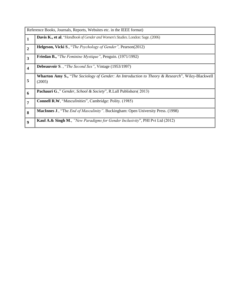|                         | Reference Books, Journals, Reports, Websites etc. in the IEEE format)                                             |
|-------------------------|-------------------------------------------------------------------------------------------------------------------|
| $\mathbf{1}$            | <b>Davis K., et al</b> , "Handbook of Gender and Women's Studies. London: Sage. (2006)                            |
| $\overline{2}$          | <b>Helgeson, Vicki S., "The Psychology of Gender", Pearson(2012)</b>                                              |
| $\overline{\mathbf{3}}$ | Friedan B., "The Feminine Mystique", Penguin. (1971/1992)                                                         |
| $\overline{\mathbf{4}}$ | <b>Debeauvoir S., "The Second Sex", Vintage (1953/1997)</b>                                                       |
| 5                       | <b>Wharton Amy S.,</b> "The Sociology of Gender: An Introduction to Theory & Research", Wiley-Blackwell<br>(2005) |
| 6                       | <b>Pachauri G.,</b> " Gender, School & Society", R.Lall Publishers(2013)                                          |
| $\overline{7}$          | <b>Connell R.W.</b> " <i>Masculinities</i> ", Cambridge: Polity. (1985)                                           |
| 8                       | <b>MacInnes J., "The End of Masculinity". Buckingham: Open University Press. (1998)</b>                           |
| $\boldsymbol{9}$        | <b>Kaul A.&amp; Singh M.,</b> "New Paradigms for Gender Inclusivity", PHI Pvt Ltd (2012)                          |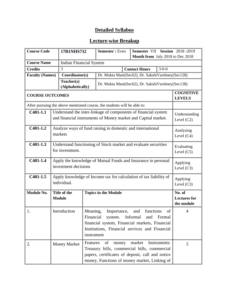| <b>Course Code</b>     |  | 17B1NHS732                                                                            |                                     | Semester VII Session 2018-2019<br><b>Semester:</b> Even                                                                                                         |                                     |                                   |                                             |
|------------------------|--|---------------------------------------------------------------------------------------|-------------------------------------|-----------------------------------------------------------------------------------------------------------------------------------------------------------------|-------------------------------------|-----------------------------------|---------------------------------------------|
|                        |  |                                                                                       |                                     | Month from July 2018 to Dec 2018                                                                                                                                |                                     |                                   |                                             |
| <b>Course Name</b>     |  | <b>Indian Financial System</b>                                                        |                                     |                                                                                                                                                                 |                                     |                                   |                                             |
| <b>Credits</b>         |  | 3                                                                                     |                                     |                                                                                                                                                                 | <b>Contact Hours</b>                | $3 - 0 - 0$                       |                                             |
| <b>Faculty (Names)</b> |  | Coordinator(s)                                                                        |                                     | Dr. Mukta Mani(Sec62), Dr. SakshiVarshney(Sec128)                                                                                                               |                                     |                                   |                                             |
|                        |  | Teacher(s)<br>(Alphabetically)                                                        |                                     | Dr. Mukta Mani(Sec62), Dr. SakshiVarshney(Sec128)                                                                                                               |                                     |                                   |                                             |
| <b>COURSE OUTCOMES</b> |  |                                                                                       |                                     |                                                                                                                                                                 |                                     | <b>COGNITIVE</b><br><b>LEVELS</b> |                                             |
|                        |  |                                                                                       |                                     | After pursuing the above mentioned course, the students will be able to:                                                                                        |                                     |                                   |                                             |
| $C401-1.1$             |  |                                                                                       |                                     | Understand the inter-linkage of components of financial system<br>and financial instruments of Money market and Capital market.                                 |                                     |                                   | Understanding<br>Level $(C2)$               |
| $C401-1.2$             |  | markets                                                                               |                                     | Analyze ways of fund raising in domestic and international                                                                                                      |                                     |                                   | Analyzing<br>Level $(C4)$                   |
| $C401-1.3$             |  | Understand functioning of Stock market and evaluate securities<br>for investment.     | Evaluating<br>Level $(C5)$          |                                                                                                                                                                 |                                     |                                   |                                             |
| $C401-1.4$             |  | Apply the knowledge of Mutual Funds and Insurance in personal<br>investment decisions |                                     |                                                                                                                                                                 |                                     |                                   | Applying<br>Level $(C3)$                    |
| $C401-1.5$             |  | Apply knowledge of Income tax for calculation of tax liability of<br>individual.      |                                     |                                                                                                                                                                 |                                     | Applying<br>Level $(C3)$          |                                             |
| Module No.             |  | Title of the<br><b>Module</b>                                                         |                                     | <b>Topics in the Module</b>                                                                                                                                     |                                     |                                   | No. of<br><b>Lectures</b> for<br>the module |
| 1.                     |  | Introduction                                                                          | Meaning,<br>Financial<br>instrument | Importance,<br>system.<br>financial system, Financial markets, Financial<br>Institutions, Financial services and Financial                                      | functions<br>and<br>Informal<br>and | of<br>Formal                      | $\overline{4}$                              |
| 2.                     |  | <b>Money Market</b>                                                                   | Features                            | of<br>money<br>Treasury bills, commercial bills, commercial<br>papers, certificates of deposit, call and notice<br>money, Functions of money market, Linking of | market                              | Instruments:                      | 5                                           |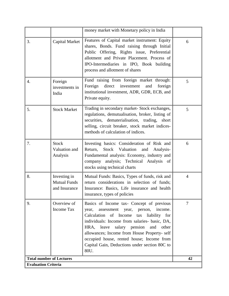|                                 |                                                      | money market with Monetary policy in India                                                                                                                                                                                                                                                                                                                                                        |                |
|---------------------------------|------------------------------------------------------|---------------------------------------------------------------------------------------------------------------------------------------------------------------------------------------------------------------------------------------------------------------------------------------------------------------------------------------------------------------------------------------------------|----------------|
| 3.                              | Capital Market                                       | Features of Capital market instrument: Equity<br>shares, Bonds. Fund raising through Initial<br>Public Offering, Rights issue, Preferential<br>allotment and Private Placement. Process of<br>IPO-Intermediaries in IPO, Book building<br>process and allotment of shares                                                                                                                         | 6              |
| 4.                              | Foreign<br>investments in<br>India                   | Fund raising from foreign market through:<br>direct<br>Foreign<br>investment<br>and<br>foreign<br>institutional investment, ADR, GDR, ECB, and<br>Private equity.                                                                                                                                                                                                                                 | 5              |
| 5.                              | <b>Stock Market</b>                                  | Trading in secondary market- Stock exchanges,<br>regulations, demutualisation, broker, listing of<br>securities, dematerialisation, trading,<br>short<br>selling, circuit breaker, stock market indices-<br>methods of calculation of indices.                                                                                                                                                    | 5              |
| 7.                              | <b>Stock</b><br>Valuation and<br>Analysis            | Investing basics: Consideration of Risk and<br>Return,<br>Stock Valuation<br>and<br>Analysis-<br>Fundamental analysis: Economy, industry and<br>company analysis; Technical Analysis of<br>stocks using technical charts                                                                                                                                                                          | 6              |
| 8.                              | Investing in<br><b>Mutual Funds</b><br>and Insurance | Mutual Funds: Basics, Types of funds, risk and<br>return considerations in selection of funds;<br>Insurance: Basics, Life insurance and health<br>insurance, types of policies                                                                                                                                                                                                                    | $\overline{4}$ |
| 9.                              | Overview of<br><b>Income Tax</b>                     | Basics of Income tax- Concept of previous<br>year, person,<br>income.<br>assessment<br>year,<br>Calculation of Income tax<br>liability for<br>individuals: Income from salaries- basic, DA,<br>HRA, leave<br>salary pension<br>other<br>and<br>allowances; Income from House Property- self<br>occupied house, rented house; Income from<br>Capital Gain, Deductions under section 80C to<br>80U. | $\overline{7}$ |
| <b>Total number of Lectures</b> |                                                      |                                                                                                                                                                                                                                                                                                                                                                                                   | 42             |
| <b>Evaluation Criteria</b>      |                                                      |                                                                                                                                                                                                                                                                                                                                                                                                   |                |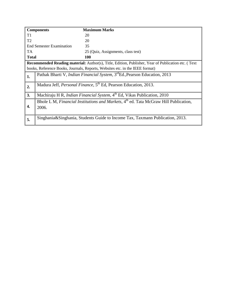|                | <b>Components</b>               | <b>Maximum Marks</b>                                                                                      |
|----------------|---------------------------------|-----------------------------------------------------------------------------------------------------------|
| T <sub>1</sub> |                                 | 20                                                                                                        |
| T <sub>2</sub> |                                 | 20                                                                                                        |
|                | <b>End Semester Examination</b> | 35                                                                                                        |
| <b>TA</b>      |                                 | 25 (Quiz, Assignments, class test)                                                                        |
| <b>Total</b>   |                                 | 100                                                                                                       |
|                |                                 | <b>Recommended Reading material:</b> Author(s), Title, Edition, Publisher, Year of Publication etc. (Text |
|                |                                 | books, Reference Books, Journals, Reports, Websites etc. in the IEEE format)                              |
| 1.             |                                 | Pathak Bharti V, <i>Indian Financial System</i> , 3 <sup>rd</sup> Ed., Pearson Education, 2013            |
| 2.             |                                 | Madura Jeff, <i>Personal Finance</i> , 5 <sup>th</sup> Ed, Pearson Education, 2013.                       |
| 3.             |                                 | Machiraju H R, Indian Financial System, 4 <sup>th</sup> Ed, Vikas Publication, 2010                       |
| 4.             | 2006.                           | Bhole L M, Financial Institutions and Markets, 4 <sup>th</sup> ed. Tata McGraw Hill Publication,          |
| 5.             |                                 | Singhania&Singhania, Students Guide to Income Tax, Taxmann Publication, 2013.                             |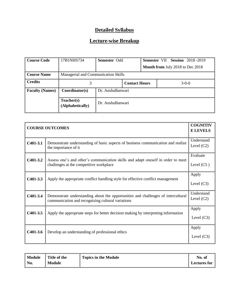| <b>Course Code</b>     | 17B1NHS734                          | <b>Semester Odd</b> |  |                                         | <b>Semester VII Session 2018-2019</b> |         |  |
|------------------------|-------------------------------------|---------------------|--|-----------------------------------------|---------------------------------------|---------|--|
|                        |                                     |                     |  | <b>Month from July 2018 to Dec 2018</b> |                                       |         |  |
| <b>Course Name</b>     | Managerial and Communication Skills |                     |  |                                         |                                       |         |  |
| <b>Credits</b>         | <b>Contact Hours</b>                |                     |  |                                         |                                       | $3-0-0$ |  |
| <b>Faculty (Names)</b> | Coordinator(s)                      | Dr. AnshuBanwari    |  |                                         |                                       |         |  |
|                        | Teacher(s)<br>(Alphabetically)      | Dr. AnshuBanwari    |  |                                         |                                       |         |  |

| <b>COURSE OUTCOMES</b> |                                                                                                                                        |                            |
|------------------------|----------------------------------------------------------------------------------------------------------------------------------------|----------------------------|
| $C401-3.1$             | Demonstrate understanding of basic aspects of business communication and realize<br>the importance of it                               | Understand<br>Level $(C2)$ |
| $C401-3.2$             | Assess one's and other's communication skills and adapt oneself in order to meet<br>challenges at the competitive workplace            | Evaluate<br>Level $(C5)$   |
| $C401-3.3$             | Apply the appropriate conflict handling style for effective conflict management                                                        | Apply<br>Level $(C3)$      |
| C401-3.4               | Demonstrate understanding about the opportunities and challenges of intercultural<br>communication and recognizing cultural variations | Understand<br>Level $(C2)$ |
| $C401-3.5$             | Apply the appropriate steps for better decision making by interpreting information                                                     | Apply<br>Level $(C3)$      |
| $C401-3.6$             | Develop an understanding of professional ethics                                                                                        | Apply<br>Level $(C3)$      |

| Module             | Title of the  | <b>Topics in the Module</b> | No. of              |
|--------------------|---------------|-----------------------------|---------------------|
| $\blacksquare$ No. | <b>Module</b> |                             | <b>Lectures for</b> |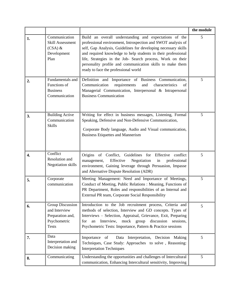|    |                                                                                       |                                                                                                                                                                                                                                                                                                                                                                                                                              | the module |
|----|---------------------------------------------------------------------------------------|------------------------------------------------------------------------------------------------------------------------------------------------------------------------------------------------------------------------------------------------------------------------------------------------------------------------------------------------------------------------------------------------------------------------------|------------|
| 1. | Communication<br>Skill Assessment<br>$(CSA)$ &<br>Development<br>Plan                 | Build an overall understanding and expectations of the<br>professional environment, Introspection and SWOT analysis of<br>self, Gap Analysis, Guidelines for developing necessary skills<br>and required knowledge to help students in their professional<br>life, Strategies in the Job- Search process, Work on their<br>personality profile and communication skills to make them<br>ready to face the professional world | 5          |
| 2. | Fundamentals and<br>Functions of<br><b>Business</b><br>Communication                  | Definition and Importance of Business Communication,<br>requirements<br>Communication<br>and<br>characteristics<br>of<br>Managerial Communication, Interpersonal & Intrapersonal<br><b>Business Communication</b>                                                                                                                                                                                                            | 5          |
| 3. | <b>Building Active</b><br>Communication<br><b>Skills</b>                              | Writing for effect in business messages, Listening, Formal<br>Speaking, Defensive and Non-Defensive Communication,<br>Corporate Body language, Audio and Visual communication,<br><b>Business Etiquettes and Mannerism</b>                                                                                                                                                                                                   | 5          |
| 4. | Conflict<br>Resolution and<br><b>Negotiation</b> skills                               | Origins of Conflict, Guidelines for Effective<br>conflict<br>Effective<br>Negotiation<br>professional<br>management,<br>in<br>environment, Gaining leverage through Persuasion, Impasse<br>and Alternative Dispute Resolution (ADR)                                                                                                                                                                                          | 5          |
| 5. | Corporate<br>communication                                                            | Meeting Management: Need and Importance of Meetings,<br>Conduct of Meeting, Public Relations : Meaning, Functions of<br>PR Department, Roles and responsibilities of an Internal and<br>External PR team, Corporate Social Responsibility                                                                                                                                                                                    | 5          |
| 6. | Group Discussion<br>and Interview<br>Preparation and,<br>Psychometric<br><b>Tests</b> | Introduction to the Job recruitment process, Criteria and<br>methods of selection, Interview and GD concepts. Types of<br>Interviews - Selection, Appraisal, Grievance, Exit, Preparing<br>Interview, mock group<br>discussion<br>sessions.<br>for<br>an<br>Psychometric Tests: Importance, Pattern & Practice sessions                                                                                                      | 5          |
| 7. | Data<br>Interpretation and<br>Decision making                                         | Importance of<br>Data Interpretation, Decision Making<br>Techniques, Case Study: Approaches to solve, Reasoning:<br><b>Interpretation Techniques</b>                                                                                                                                                                                                                                                                         | 5          |
| 8. | Communicating                                                                         | Understanding the opportunities and challenges of Intercultural<br>communication, Enhancing Intercultural sensitivity, Improving                                                                                                                                                                                                                                                                                             | 5          |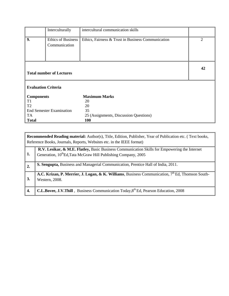|                                 | Interculturally                            | intercultural communication skills                 |   |  |
|---------------------------------|--------------------------------------------|----------------------------------------------------|---|--|
| 9.                              | <b>Ethics of Business</b><br>Communication | Ethics, Fairness & Trust in Business Communication | 2 |  |
|                                 | <b>Total number of Lectures</b>            |                                                    |   |  |
|                                 | <b>Evaluation Criteria</b>                 |                                                    |   |  |
| <b>Components</b>               |                                            | <b>Maximum Marks</b>                               |   |  |
| T1                              |                                            | 20                                                 |   |  |
| T <sub>2</sub>                  |                                            | 20                                                 |   |  |
| <b>End Semester Examination</b> |                                            | 35                                                 |   |  |
| TA                              |                                            | 25 (Assignments, Discussion Questions)             |   |  |
| <b>Total</b>                    |                                            | <b>100</b>                                         |   |  |

|                  | <b>Recommended Reading material:</b> Author(s), Title, Edition, Publisher, Year of Publication etc. (Text books,<br>Reference Books, Journals, Reports, Websites etc. in the IEEE format) |  |  |
|------------------|-------------------------------------------------------------------------------------------------------------------------------------------------------------------------------------------|--|--|
| 1.               | R.V. Lesikar, & M.E. Flatley, Basic Business Communication Skills for Empowering the Internet<br>Generation, 10 <sup>th</sup> Ed, Tata McGraw Hill Publishing Company, 2005               |  |  |
| $\overline{2}$ . | <b>S. Sengupta, Business and Managerial Communication, Prentice Hall of India, 2011.</b>                                                                                                  |  |  |
| 3.               | A.C. Krizan, P. Merrier, J. Logan, & K. Williams, Business Communication, 7th Ed, Thomson South-<br>Western, 2008.                                                                        |  |  |
| 4.               | <b>C.L.Bovee, J.V.Thill</b> , Business Communication Today, 8 <sup>th</sup> Ed, Pearson Education, 2008                                                                                   |  |  |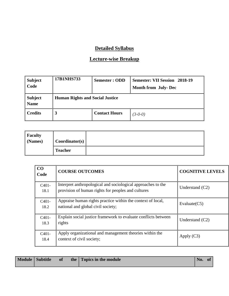| <b>Subject</b><br>Code        | <b>17B1NHS733</b>                      | <b>Semester: ODD</b> | <b>Semester: VII Session 2018-19</b><br><b>Month from July-Dec</b> |
|-------------------------------|----------------------------------------|----------------------|--------------------------------------------------------------------|
| <b>Subject</b><br><b>Name</b> | <b>Human Rights and Social Justice</b> |                      |                                                                    |
| <b>Credits</b>                | 3                                      | <b>Contact Hours</b> | $(3-0-0)$                                                          |

| <b>Faculty</b><br>$\sim$ (Names) | Coordinator(s) |  |
|----------------------------------|----------------|--|
|                                  | <b>Teacher</b> |  |

| CO<br>Code      | <b>COURSE OUTCOMES</b>                                                                                             | <b>COGNITIVE LEVELS</b> |
|-----------------|--------------------------------------------------------------------------------------------------------------------|-------------------------|
| $C401-$<br>18.1 | Interpret anthropological and sociological approaches to the<br>provision of human rights for peoples and cultures | Understand $(C2)$       |
| $C401-$<br>18.2 | Appraise human rights practice within the context of local,<br>national and global civil society;                  | Evaluate $(C5)$         |
| $C401-$<br>18.3 | Explain social justice framework to evaluate conflicts between<br>rights                                           | Understand $(C2)$       |
| $C401-$<br>18.4 | Apply organizational and management theories within the<br>context of civil society;                               | Apply $(C3)$            |

|  | Module Subtitle | <b>of</b> |  | the Topics in the module | No. | $\mathbf{0}$ |
|--|-----------------|-----------|--|--------------------------|-----|--------------|
|--|-----------------|-----------|--|--------------------------|-----|--------------|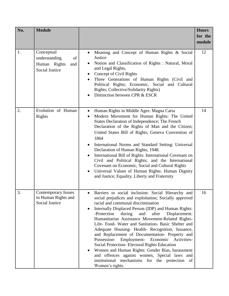| No. | <b>Module</b>                                                                     |                                                                                                                                                                                                                                                                                                                                                                                                                                                                                                                                                                                                                                                                                                                                                                      | <b>Hours</b><br>for the<br>module |
|-----|-----------------------------------------------------------------------------------|----------------------------------------------------------------------------------------------------------------------------------------------------------------------------------------------------------------------------------------------------------------------------------------------------------------------------------------------------------------------------------------------------------------------------------------------------------------------------------------------------------------------------------------------------------------------------------------------------------------------------------------------------------------------------------------------------------------------------------------------------------------------|-----------------------------------|
| 1.  | Conceptual<br>understanding<br>of<br>Human Rights<br>and<br><b>Social Justice</b> | Meaning and Concept of Human Rights & Social<br>Justice<br>Notion and Classification of Rights : Natural, Moral<br>and Legal Rights,<br>Concept of Civil Rights<br>Three Generations of Human Rights (Civil and<br>Political Rights; Economic, Social and Cultural<br>Rights; Collective/Solidarity Rights)<br>Distinction between CPR & ESCR                                                                                                                                                                                                                                                                                                                                                                                                                        | 12                                |
| 2.  | Evolution of Human<br>Rights                                                      | Human Rights in Middle Ages: Magna Carta<br>$\bullet$<br>Modern Movement for Human Rights: The United<br>States Declaration of Independence; The French<br>Declaration of the Rights of Man and the Citizen;<br>United States Bill of Rights; Geneva Convention of<br>1864<br>International Norms and Standard Setting: Universal<br>Declaration of Human Rights, 1948.<br>International Bill of Rights: International Covenant on<br>Civil and Political Rights; and the International<br>Covenant on Economic, Social and Cultural Rights<br>Universal Values of Human Rights: Human Dignity<br>and Justice; Equality, Liberty and Fraternity                                                                                                                      | 14                                |
| 3.  | <b>Contemporary Issues</b><br>in Human Rights and<br>Social Justice               | Barriers to social inclusion: Social Hierarchy and<br>social prejudices and exploitation; Socially approved<br>racial and communal discrimination<br>Internally Displaced Person (IDP) and Human Rights:<br>-Protection<br>and<br>after<br>Displacement:<br>during<br>Humanitarian Assistance Movement-Related Rights-<br>Life- Food- Water and Sanitation- Basic Shelter and<br>Adequate Housing- Health- Recognition, Issuance,<br>and Replacement of Documentation- Property and<br>Possession-<br>Employment-<br>Economic<br>Activities-<br>Social Protection-Electoral Rights Education<br>Women and Human Rights: Gender Bias, harassment<br>and offences against women, Special laws and<br>institutional mechanisms for the protection of<br>Women's rights. | 16                                |